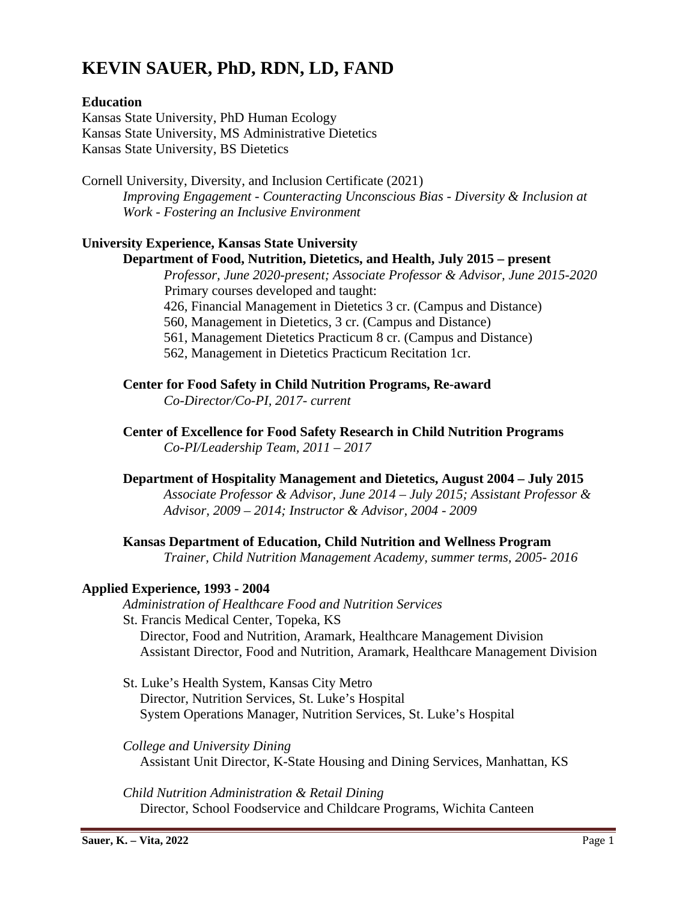# **KEVIN SAUER, PhD, RDN, LD, FAND**

## **Education**

Kansas State University, PhD Human Ecology Kansas State University, MS Administrative Dietetics Kansas State University, BS Dietetics

Cornell University, Diversity, and Inclusion Certificate (2021) *Improving Engagement - Counteracting Unconscious Bias - Diversity & Inclusion at Work - Fostering an Inclusive Environment*

## **University Experience, Kansas State University**

## **Department of Food, Nutrition, Dietetics, and Health, July 2015 – present**

*Professor, June 2020-present; Associate Professor & Advisor, June 2015-2020* Primary courses developed and taught:

- 426, Financial Management in Dietetics 3 cr. (Campus and Distance)
- 560, Management in Dietetics, 3 cr. (Campus and Distance)
- 561, Management Dietetics Practicum 8 cr. (Campus and Distance)

562, Management in Dietetics Practicum Recitation 1cr.

**Center for Food Safety in Child Nutrition Programs, Re-award** *Co-Director/Co-PI, 2017- current*

**Center of Excellence for Food Safety Research in Child Nutrition Programs** *Co-PI/Leadership Team, 2011 – 2017*

## **Department of Hospitality Management and Dietetics, August 2004 – July 2015**

*Associate Professor & Advisor, June 2014 – July 2015; Assistant Professor & Advisor, 2009 – 2014; Instructor & Advisor, 2004 - 2009*

## **Kansas Department of Education, Child Nutrition and Wellness Program**

*Trainer, Child Nutrition Management Academy, summer terms, 2005- 2016*

## **Applied Experience, 1993 - 2004**

*Administration of Healthcare Food and Nutrition Services*

- St. Francis Medical Center, Topeka, KS Director, Food and Nutrition, Aramark, Healthcare Management Division Assistant Director, Food and Nutrition, Aramark, Healthcare Management Division
- St. Luke's Health System, Kansas City Metro Director, Nutrition Services, St. Luke's Hospital System Operations Manager, Nutrition Services, St. Luke's Hospital

*College and University Dining* Assistant Unit Director, K-State Housing and Dining Services, Manhattan, KS

*Child Nutrition Administration & Retail Dining* Director, School Foodservice and Childcare Programs, Wichita Canteen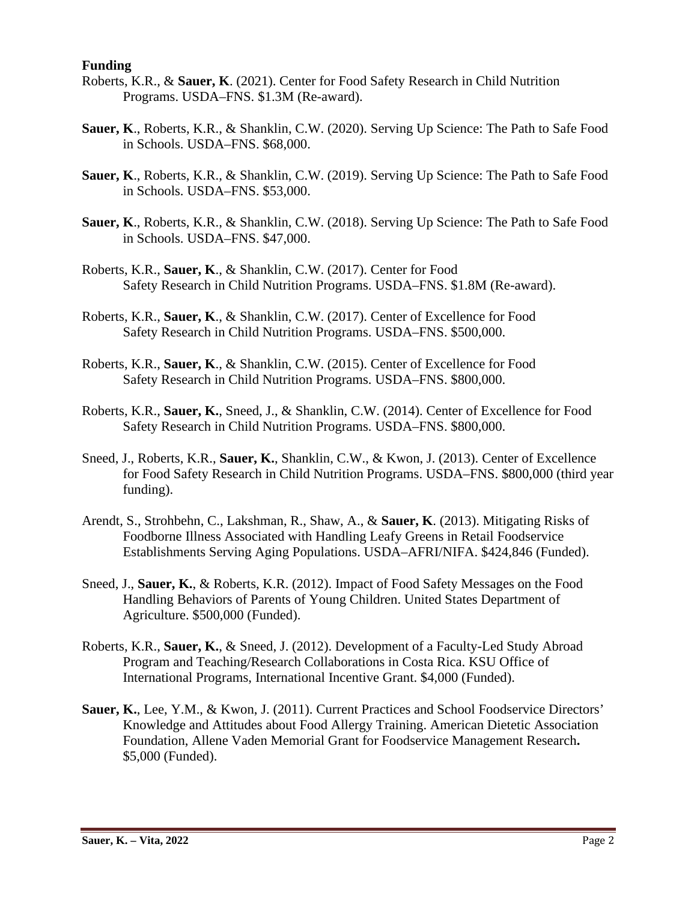### **Funding**

- Roberts, K.R., & **Sauer, K**. (2021). Center for Food Safety Research in Child Nutrition Programs. USDA–FNS. \$1.3M (Re-award).
- **Sauer, K**., Roberts, K.R., & Shanklin, C.W. (2020). Serving Up Science: The Path to Safe Food in Schools. USDA–FNS. \$68,000.
- **Sauer, K**., Roberts, K.R., & Shanklin, C.W. (2019). Serving Up Science: The Path to Safe Food in Schools. USDA–FNS. \$53,000.
- **Sauer, K**., Roberts, K.R., & Shanklin, C.W. (2018). Serving Up Science: The Path to Safe Food in Schools. USDA–FNS. \$47,000.
- Roberts, K.R., **Sauer, K**., & Shanklin, C.W. (2017). Center for Food Safety Research in Child Nutrition Programs. USDA–FNS. \$1.8M (Re-award).
- Roberts, K.R., **Sauer, K**., & Shanklin, C.W. (2017). Center of Excellence for Food Safety Research in Child Nutrition Programs. USDA–FNS. \$500,000.
- Roberts, K.R., **Sauer, K**., & Shanklin, C.W. (2015). Center of Excellence for Food Safety Research in Child Nutrition Programs. USDA–FNS. \$800,000.
- Roberts, K.R., **Sauer, K.**, Sneed, J., & Shanklin, C.W. (2014). Center of Excellence for Food Safety Research in Child Nutrition Programs. USDA–FNS. \$800,000.
- Sneed, J., Roberts, K.R., **Sauer, K.**, Shanklin, C.W., & Kwon, J. (2013). Center of Excellence for Food Safety Research in Child Nutrition Programs. USDA–FNS. \$800,000 (third year funding).
- Arendt, S., Strohbehn, C., Lakshman, R., Shaw, A., & **Sauer, K**. (2013). Mitigating Risks of Foodborne Illness Associated with Handling Leafy Greens in Retail Foodservice Establishments Serving Aging Populations. USDA–AFRI/NIFA. \$424,846 (Funded).
- Sneed, J., **Sauer, K.**, & Roberts, K.R. (2012). Impact of Food Safety Messages on the Food Handling Behaviors of Parents of Young Children. United States Department of Agriculture. \$500,000 (Funded).
- Roberts, K.R., **Sauer, K.**, & Sneed, J. (2012). Development of a Faculty-Led Study Abroad Program and Teaching/Research Collaborations in Costa Rica. KSU Office of International Programs, International Incentive Grant. \$4,000 (Funded).
- **Sauer, K.**, Lee, Y.M., & Kwon, J. (2011). Current Practices and School Foodservice Directors' Knowledge and Attitudes about Food Allergy Training. American Dietetic Association Foundation, Allene Vaden Memorial Grant for Foodservice Management Research**.**  \$5,000 (Funded).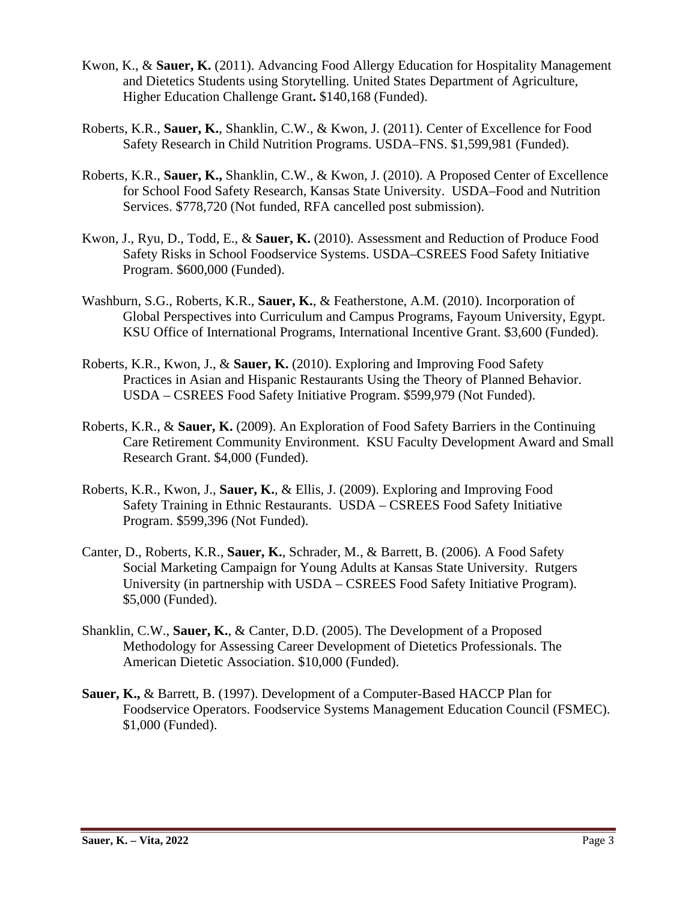- Kwon, K., & **Sauer, K.** (2011). Advancing Food Allergy Education for Hospitality Management and Dietetics Students using Storytelling. United States Department of Agriculture, Higher Education Challenge Grant**.** \$140,168 (Funded).
- Roberts, K.R., **Sauer, K.**, Shanklin, C.W., & Kwon, J. (2011). Center of Excellence for Food Safety Research in Child Nutrition Programs. USDA–FNS. \$1,599,981 (Funded).
- Roberts, K.R., **Sauer, K.,** Shanklin, C.W., & Kwon, J. (2010). A Proposed Center of Excellence for School Food Safety Research, Kansas State University. USDA–Food and Nutrition Services. \$778,720 (Not funded, RFA cancelled post submission).
- Kwon, J., Ryu, D., Todd, E., & **Sauer, K.** (2010). Assessment and Reduction of Produce Food Safety Risks in School Foodservice Systems. USDA–CSREES Food Safety Initiative Program. \$600,000 (Funded).
- Washburn, S.G., Roberts, K.R., **Sauer, K.**, & Featherstone, A.M. (2010). Incorporation of Global Perspectives into Curriculum and Campus Programs, Fayoum University, Egypt. KSU Office of International Programs, International Incentive Grant. \$3,600 (Funded).
- Roberts, K.R., Kwon, J., & **Sauer, K.** (2010). Exploring and Improving Food Safety Practices in Asian and Hispanic Restaurants Using the Theory of Planned Behavior. USDA – CSREES Food Safety Initiative Program. \$599,979 (Not Funded).
- Roberts, K.R., & **Sauer, K.** (2009). An Exploration of Food Safety Barriers in the Continuing Care Retirement Community Environment. KSU Faculty Development Award and Small Research Grant. \$4,000 (Funded).
- Roberts, K.R., Kwon, J., **Sauer, K.**, & Ellis, J. (2009). Exploring and Improving Food Safety Training in Ethnic Restaurants. USDA – CSREES Food Safety Initiative Program. \$599,396 (Not Funded).
- Canter, D., Roberts, K.R., **Sauer, K.**, Schrader, M., & Barrett, B. (2006). A Food Safety Social Marketing Campaign for Young Adults at Kansas State University. Rutgers University (in partnership with USDA – CSREES Food Safety Initiative Program). \$5,000 (Funded).
- Shanklin, C.W., **Sauer, K.**, & Canter, D.D. (2005). The Development of a Proposed Methodology for Assessing Career Development of Dietetics Professionals. The American Dietetic Association. \$10,000 (Funded).
- **Sauer, K.,** & Barrett, B. (1997). Development of a Computer-Based HACCP Plan for Foodservice Operators. Foodservice Systems Management Education Council (FSMEC). \$1,000 (Funded).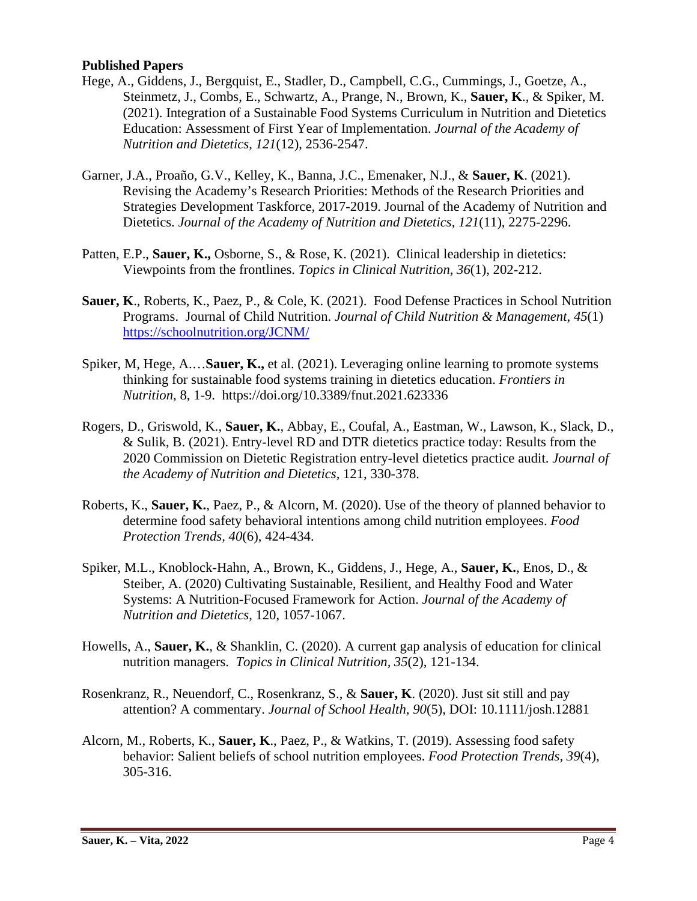### **Published Papers**

- Hege, A., Giddens, J., Bergquist, E., Stadler, D., Campbell, C.G., Cummings, J., Goetze, A., Steinmetz, J., Combs, E., Schwartz, A., Prange, N., Brown, K., **Sauer, K**., & Spiker, M. (2021). Integration of a Sustainable Food Systems Curriculum in Nutrition and Dietetics Education: Assessment of First Year of Implementation. *Journal of the Academy of Nutrition and Dietetics*, *121*(12), 2536-2547.
- Garner, J.A., Proaño, G.V., Kelley, K., Banna, J.C., Emenaker, N.J., & **Sauer, K**. (2021). Revising the Academy's Research Priorities: Methods of the Research Priorities and Strategies Development Taskforce, 2017-2019. Journal of the Academy of Nutrition and Dietetics. *Journal of the Academy of Nutrition and Dietetics, 121*(11), 2275-2296.
- Patten, E.P., **Sauer, K.,** Osborne, S., & Rose, K. (2021). Clinical leadership in dietetics: Viewpoints from the frontlines. *Topics in Clinical Nutrition*, *36*(1), 202-212.
- **Sauer, K**., Roberts, K., Paez, P., & Cole, K. (2021). Food Defense Practices in School Nutrition Programs. Journal of Child Nutrition. *Journal of Child Nutrition & Management*, *45*(1) <https://schoolnutrition.org/JCNM/>
- Spiker, M, Hege, A.…**Sauer, K.,** et al. (2021). Leveraging online learning to promote systems thinking for sustainable food systems training in dietetics education. *Frontiers in Nutrition*, 8, 1-9. https://doi.org/10.3389/fnut.2021.623336
- Rogers, D., Griswold, K., **Sauer, K.**, Abbay, E., Coufal, A., Eastman, W., Lawson, K., Slack, D., & Sulik, B. (2021). Entry-level RD and DTR dietetics practice today: Results from the 2020 Commission on Dietetic Registration entry-level dietetics practice audit. *Journal of the Academy of Nutrition and Dietetics*, 121, 330-378.
- Roberts, K., **Sauer, K.**, Paez, P., & Alcorn, M. (2020). Use of the theory of planned behavior to determine food safety behavioral intentions among child nutrition employees. *Food Protection Trends, 40*(6), 424-434.
- Spiker, M.L., Knoblock-Hahn, A., Brown, K., Giddens, J., Hege, A., **Sauer, K.**, Enos, D., & Steiber, A. (2020) Cultivating Sustainable, Resilient, and Healthy Food and Water Systems: A Nutrition-Focused Framework for Action. *Journal of the Academy of Nutrition and Dietetics*, 120, 1057-1067.
- Howells, A., **Sauer, K.**, & Shanklin, C. (2020). A current gap analysis of education for clinical nutrition managers. *Topics in Clinical Nutrition, 35*(2), 121-134.
- Rosenkranz, R., Neuendorf, C., Rosenkranz, S., & **Sauer, K**. (2020). Just sit still and pay attention? A commentary. *Journal of School Health, 90*(5), DOI: 10.1111/josh.12881
- Alcorn, M., Roberts, K., **Sauer, K**., Paez, P., & Watkins, T. (2019). Assessing food safety behavior: Salient beliefs of school nutrition employees. *Food Protection Trends, 39*(4), 305-316.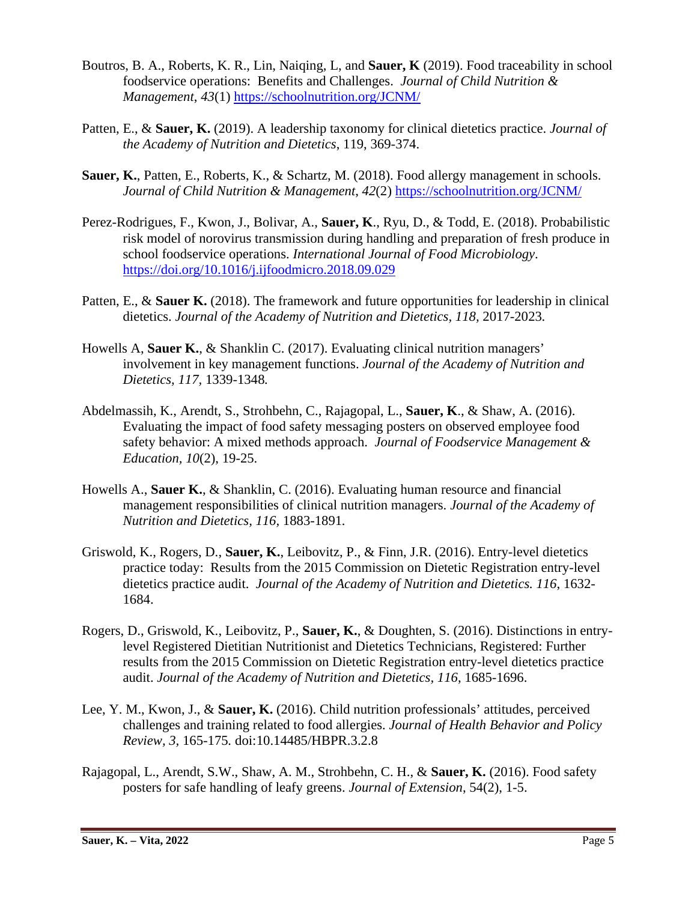- Boutros, B. A., Roberts, K. R., Lin, Naiqing, L, and **Sauer, K** (2019). Food traceability in school foodservice operations: Benefits and Challenges. *Journal of Child Nutrition & Management*, *43*(1)<https://schoolnutrition.org/JCNM/>
- Patten, E., & **Sauer, K.** (2019). A leadership taxonomy for clinical dietetics practice. *Journal of the Academy of Nutrition and Dietetics*, 119, 369-374.
- **Sauer, K.**, Patten, E., Roberts, K., & Schartz, M. (2018). Food allergy management in schools. *Journal of Child Nutrition & Management*, *42*(2)<https://schoolnutrition.org/JCNM/>
- Perez-Rodrigues, F., Kwon, J., Bolivar, A., **Sauer, K**., Ryu, D., & Todd, E. (2018). Probabilistic risk model of norovirus transmission during handling and preparation of fresh produce in school foodservice operations. *International Journal of Food Microbiology*. <https://doi.org/10.1016/j.ijfoodmicro.2018.09.029>
- Patten, E., & **Sauer K.** (2018). The framework and future opportunities for leadership in clinical dietetics. *Journal of the Academy of Nutrition and Dietetics, 118,* 2017-2023*.*
- Howells A, **Sauer K.**, & Shanklin C. (2017). Evaluating clinical nutrition managers' involvement in key management functions. *Journal of the Academy of Nutrition and Dietetics, 117,* 1339-1348*.*
- Abdelmassih, K., Arendt, S., Strohbehn, C., Rajagopal, L., **Sauer, K**., & Shaw, A. (2016). Evaluating the impact of food safety messaging posters on observed employee food safety behavior: A mixed methods approach. *Journal of Foodservice Management & Education, 10*(2), 19-25.
- Howells A., **Sauer K.**, & Shanklin, C. (2016). Evaluating human resource and financial management responsibilities of clinical nutrition managers. *Journal of the Academy of Nutrition and Dietetics, 116,* 1883-1891*.*
- Griswold, K., Rogers, D., **Sauer, K.**, Leibovitz, P., & Finn, J.R. (2016). Entry-level dietetics practice today: Results from the 2015 Commission on Dietetic Registration entry-level dietetics practice audit. *Journal of the Academy of Nutrition and Dietetics. 116*, 1632- 1684.
- Rogers, D., Griswold, K., Leibovitz, P., **Sauer, K.**, & Doughten, S. (2016). Distinctions in entrylevel Registered Dietitian Nutritionist and Dietetics Technicians, Registered: Further results from the 2015 Commission on Dietetic Registration entry-level dietetics practice audit. *Journal of the Academy of Nutrition and Dietetics, 116*, 1685-1696.
- Lee, Y. M., Kwon, J., & **Sauer, K.** (2016). Child nutrition professionals' attitudes, perceived challenges and training related to food allergies. *Journal of Health Behavior and Policy Review, 3,* 165-175*.* doi:10.14485/HBPR.3.2.8
- Rajagopal, L., Arendt, S.W., Shaw, A. M., Strohbehn, C. H., & **Sauer, K.** (2016). Food safety posters for safe handling of leafy greens. *Journal of Extension*, 54(2), 1-5.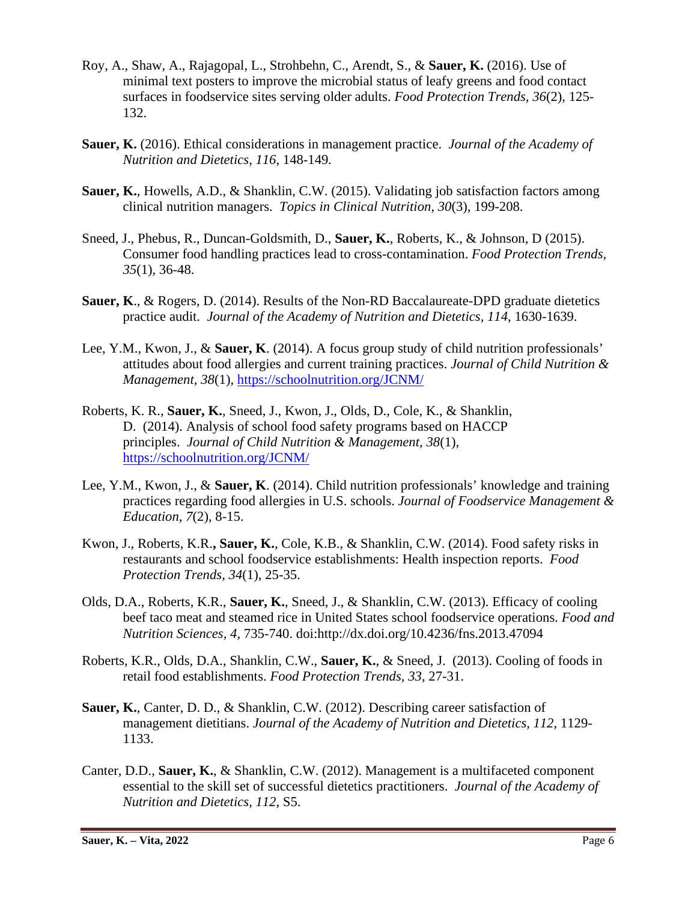- Roy, A., Shaw, A., Rajagopal, L., Strohbehn, C., Arendt, S., & **Sauer, K.** (2016). Use of minimal text posters to improve the microbial status of leafy greens and food contact surfaces in foodservice sites serving older adults. *Food Protection Trends, 36*(2), 125- 132.
- **Sauer, K.** (2016). Ethical considerations in management practice. *Journal of the Academy of Nutrition and Dietetics, 116*, 148-149*.*
- **Sauer, K.**, Howells, A.D., & Shanklin, C.W. (2015). Validating job satisfaction factors among clinical nutrition managers. *Topics in Clinical Nutrition, 30*(3), 199-208.
- Sneed, J., Phebus, R., Duncan-Goldsmith, D., **Sauer, K.**, Roberts, K., & Johnson, D (2015). Consumer food handling practices lead to cross-contamination. *Food Protection Trends, 35*(1), 36-48.
- **Sauer, K**., & Rogers, D. (2014). Results of the Non-RD Baccalaureate-DPD graduate dietetics practice audit. *Journal of the Academy of Nutrition and Dietetics, 114*, 1630-1639.
- Lee, Y.M., Kwon, J., & **Sauer, K**. (2014). A focus group study of child nutrition professionals' attitudes about food allergies and current training practices. *Journal of Child Nutrition & Management, 38*(1)*,* <https://schoolnutrition.org/JCNM/>
- Roberts, K. R., **Sauer, K.**, Sneed, J., Kwon, J., Olds, D., Cole, K., & Shanklin, D. (2014). Analysis of school food safety programs based on HACCP principles. *Journal of Child Nutrition & Management, 38*(1), <https://schoolnutrition.org/JCNM/>
- Lee, Y.M., Kwon, J., & **Sauer, K**. (2014). Child nutrition professionals' knowledge and training practices regarding food allergies in U.S. schools. *Journal of Foodservice Management & Education, 7*(2), 8-15.
- Kwon, J., Roberts, K.R.**, Sauer, K.**, Cole, K.B., & Shanklin, C.W. (2014). Food safety risks in restaurants and school foodservice establishments: Health inspection reports. *Food Protection Trends*, *34*(1), 25-35.
- Olds, D.A., Roberts, K.R., **Sauer, K.**, Sneed, J., & Shanklin, C.W. (2013). Efficacy of cooling beef taco meat and steamed rice in United States school foodservice operations. *Food and Nutrition Sciences, 4*, 735-740. doi:http://dx.doi.org/10.4236/fns.2013.47094
- Roberts, K.R., Olds, D.A., Shanklin, C.W., **Sauer, K.**, & Sneed, J. (2013). Cooling of foods in retail food establishments. *Food Protection Trends, 33,* 27-31.
- **Sauer, K.**, Canter, D. D., & Shanklin, C.W. (2012). Describing career satisfaction of management dietitians. *Journal of the Academy of Nutrition and Dietetics, 112*, 1129- 1133.
- Canter, D.D., **Sauer, K.**, & Shanklin, C.W. (2012). Management is a multifaceted component essential to the skill set of successful dietetics practitioners. *Journal of the Academy of Nutrition and Dietetics, 112*, S5.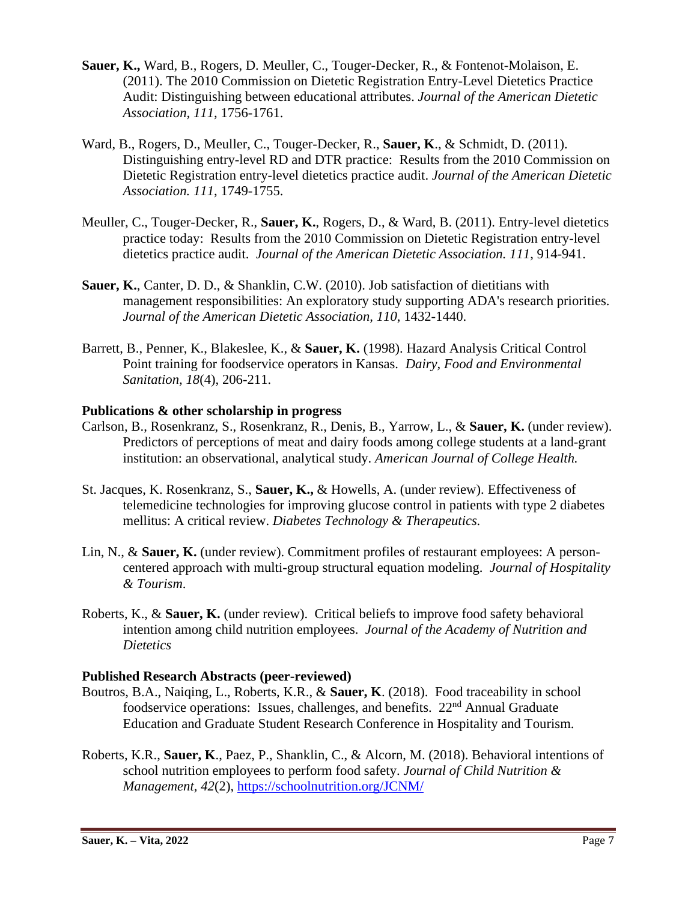- **Sauer, K.,** Ward, B., Rogers, D. Meuller, C., Touger-Decker, R., & Fontenot-Molaison, E. (2011). The 2010 Commission on Dietetic Registration Entry-Level Dietetics Practice Audit: Distinguishing between educational attributes. *Journal of the American Dietetic Association, 111*, 1756-1761.
- Ward, B., Rogers, D., Meuller, C., Touger-Decker, R., **Sauer, K**., & Schmidt, D. (2011). Distinguishing entry-level RD and DTR practice: Results from the 2010 Commission on Dietetic Registration entry-level dietetics practice audit. *Journal of the American Dietetic Association. 111*, 1749-1755.
- Meuller, C., Touger-Decker, R., **Sauer, K.**, Rogers, D., & Ward, B. (2011). Entry-level dietetics practice today: Results from the 2010 Commission on Dietetic Registration entry-level dietetics practice audit. *Journal of the American Dietetic Association. 111*, 914-941.
- **Sauer, K.**, Canter, D. D., & Shanklin, C.W. (2010). Job satisfaction of dietitians with management responsibilities: An exploratory study supporting ADA's research priorities. *Journal of the American Dietetic Association, 110*, 1432-1440.
- Barrett, B., Penner, K., Blakeslee, K., & **Sauer, K.** (1998). Hazard Analysis Critical Control Point training for foodservice operators in Kansas. *Dairy, Food and Environmental Sanitation, 18*(4), 206-211.

## **Publications & other scholarship in progress**

- Carlson, B., Rosenkranz, S., Rosenkranz, R., Denis, B., Yarrow, L., & **Sauer, K.** (under review). Predictors of perceptions of meat and dairy foods among college students at a land-grant institution: an observational, analytical study. *American Journal of College Health.*
- St. Jacques, K. Rosenkranz, S., **Sauer, K.,** & Howells, A. (under review). Effectiveness of telemedicine technologies for improving glucose control in patients with type 2 diabetes mellitus: A critical review. *Diabetes Technology & Therapeutics.*
- Lin, N., & **Sauer, K.** (under review). Commitment profiles of restaurant employees: A personcentered approach with multi-group structural equation modeling. *Journal of Hospitality & Tourism*.
- Roberts, K., & **Sauer, K.** (under review). Critical beliefs to improve food safety behavioral intention among child nutrition employees. *Journal of the Academy of Nutrition and Dietetics*

### **Published Research Abstracts (peer-reviewed)**

- Boutros, B.A., Naiqing, L., Roberts, K.R., & **Sauer, K**. (2018). Food traceability in school foodservice operations: Issues, challenges, and benefits.  $22<sup>nd</sup>$  Annual Graduate Education and Graduate Student Research Conference in Hospitality and Tourism.
- Roberts, K.R., **Sauer, K**., Paez, P., Shanklin, C., & Alcorn, M. (2018). Behavioral intentions of school nutrition employees to perform food safety. *Journal of Child Nutrition & Management, 42*(2),<https://schoolnutrition.org/JCNM/>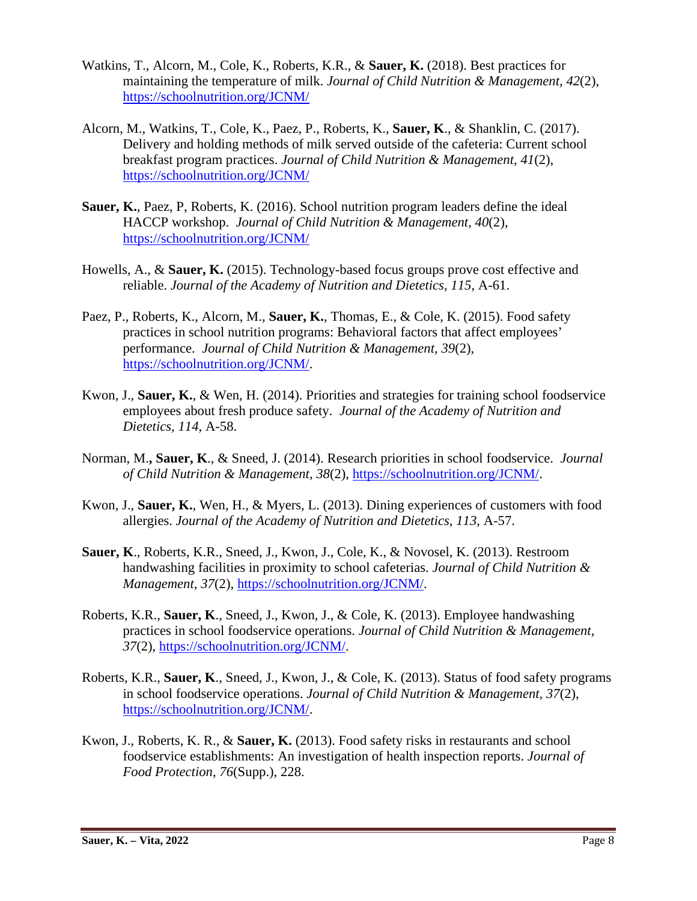- Watkins, T., Alcorn, M., Cole, K., Roberts, K.R., & **Sauer, K.** (2018). Best practices for maintaining the temperature of milk. *Journal of Child Nutrition & Management, 42*(2), <https://schoolnutrition.org/JCNM/>
- Alcorn, M., Watkins, T., Cole, K., Paez, P., Roberts, K., **Sauer, K**., & Shanklin, C. (2017). Delivery and holding methods of milk served outside of the cafeteria: Current school breakfast program practices. *Journal of Child Nutrition & Management, 41*(2), <https://schoolnutrition.org/JCNM/>
- **Sauer, K.**, Paez, P, Roberts, K. (2016). School nutrition program leaders define the ideal HACCP workshop. *Journal of Child Nutrition & Management, 40*(2), <https://schoolnutrition.org/JCNM/>
- Howells, A., & **Sauer, K.** (2015). Technology-based focus groups prove cost effective and reliable. *Journal of the Academy of Nutrition and Dietetics, 115*, A-61.
- Paez, P., Roberts, K., Alcorn, M., **Sauer, K.**, Thomas, E., & Cole, K. (2015). Food safety practices in school nutrition programs: Behavioral factors that affect employees' performance. *Journal of Child Nutrition & Management, 39*(2), [https://schoolnutrition.org/JCNM/.](https://schoolnutrition.org/JCNM/)
- Kwon, J., **Sauer, K.**, & Wen, H. (2014). Priorities and strategies for training school foodservice employees about fresh produce safety. *Journal of the Academy of Nutrition and Dietetics, 114*, A-58.
- Norman, M.**, Sauer, K**., & Sneed, J. (2014). Research priorities in school foodservice. *Journal of Child Nutrition & Management, 38*(2), [https://schoolnutrition.org/JCNM/.](https://schoolnutrition.org/JCNM/)
- Kwon, J., **Sauer, K.**, Wen, H., & Myers, L. (2013). Dining experiences of customers with food allergies. *Journal of the Academy of Nutrition and Dietetics, 113*, A-57.
- **Sauer, K**., Roberts, K.R., Sneed, J., Kwon, J., Cole, K., & Novosel, K. (2013). Restroom handwashing facilities in proximity to school cafeterias. *Journal of Child Nutrition & Management, 37*(2), [https://schoolnutrition.org/JCNM/.](https://schoolnutrition.org/JCNM/)
- Roberts, K.R., **Sauer, K**., Sneed, J., Kwon, J., & Cole, K. (2013). Employee handwashing practices in school foodservice operations. *Journal of Child Nutrition & Management, 37*(2), [https://schoolnutrition.org/JCNM/.](https://schoolnutrition.org/JCNM/)
- Roberts, K.R., **Sauer, K**., Sneed, J., Kwon, J., & Cole, K. (2013). Status of food safety programs in school foodservice operations. *Journal of Child Nutrition & Management, 37*(2), [https://schoolnutrition.org/JCNM/.](https://schoolnutrition.org/JCNM/)
- Kwon, J., Roberts, K. R., & **Sauer, K.** (2013). Food safety risks in restaurants and school foodservice establishments: An investigation of health inspection reports. *Journal of Food Protection, 76*(Supp.), 228.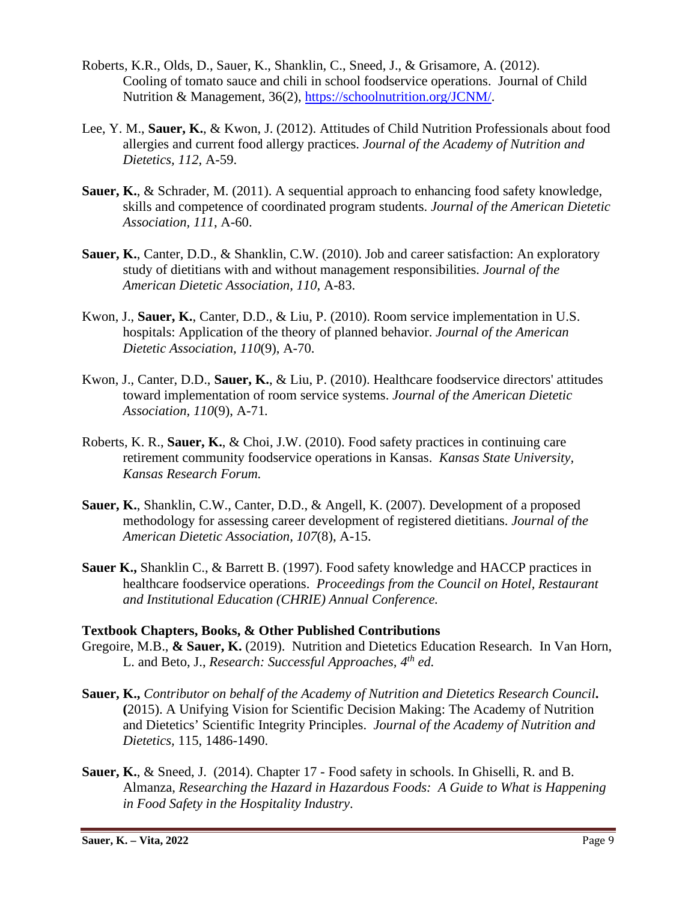- Roberts, K.R., Olds, D., Sauer, K., Shanklin, C., Sneed, J., & Grisamore, A. (2012). Cooling of tomato sauce and chili in school foodservice operations. Journal of Child Nutrition & Management, 36(2), [https://schoolnutrition.org/JCNM/.](https://schoolnutrition.org/JCNM/)
- Lee, Y. M., **Sauer, K.**, & Kwon, J. (2012). Attitudes of Child Nutrition Professionals about food allergies and current food allergy practices. *Journal of the Academy of Nutrition and Dietetics, 112*, A-59.
- **Sauer, K.**, & Schrader, M. (2011). A sequential approach to enhancing food safety knowledge, skills and competence of coordinated program students. *Journal of the American Dietetic Association, 111*, A-60.
- **Sauer, K.**, Canter, D.D., & Shanklin, C.W. (2010). Job and career satisfaction: An exploratory study of dietitians with and without management responsibilities. *Journal of the American Dietetic Association, 110*, A-83.
- Kwon, J., **Sauer, K.**, Canter, D.D., & Liu, P. (2010). Room service implementation in U.S. hospitals: Application of the theory of planned behavior. *Journal of the American Dietetic Association, 110*(9), A-70.
- Kwon, J., Canter, D.D., **Sauer, K.**, & Liu, P. (2010). Healthcare foodservice directors' attitudes toward implementation of room service systems. *Journal of the American Dietetic Association, 110*(9), A-71*.*
- Roberts, K. R., **Sauer, K.**, & Choi, J.W. (2010). Food safety practices in continuing care retirement community foodservice operations in Kansas. *Kansas State University, Kansas Research Forum.*
- **Sauer, K.**, Shanklin, C.W., Canter, D.D., & Angell, K. (2007). Development of a proposed methodology for assessing career development of registered dietitians. *Journal of the American Dietetic Association, 107*(8), A-15.
- **Sauer K.,** Shanklin C., & Barrett B. (1997). Food safety knowledge and HACCP practices in healthcare foodservice operations. *Proceedings from the Council on Hotel, Restaurant and Institutional Education (CHRIE) Annual Conference.*

### **Textbook Chapters, Books, & Other Published Contributions**

- Gregoire, M.B., **& Sauer, K.** (2019). Nutrition and Dietetics Education Research. In Van Horn, L. and Beto, J., *Research: Successful Approaches, 4th ed.*
- **Sauer, K.,** *Contributor on behalf of the Academy of Nutrition and Dietetics Research Council***. (**2015). A Unifying Vision for Scientific Decision Making: The Academy of Nutrition and Dietetics' Scientific Integrity Principles. *Journal of the Academy of Nutrition and Dietetics,* 115, 1486-1490.
- **Sauer, K.**, & Sneed, J. (2014). Chapter 17 Food safety in schools. In Ghiselli, R. and B. Almanza, *Researching the Hazard in Hazardous Foods: A Guide to What is Happening in Food Safety in the Hospitality Industry*.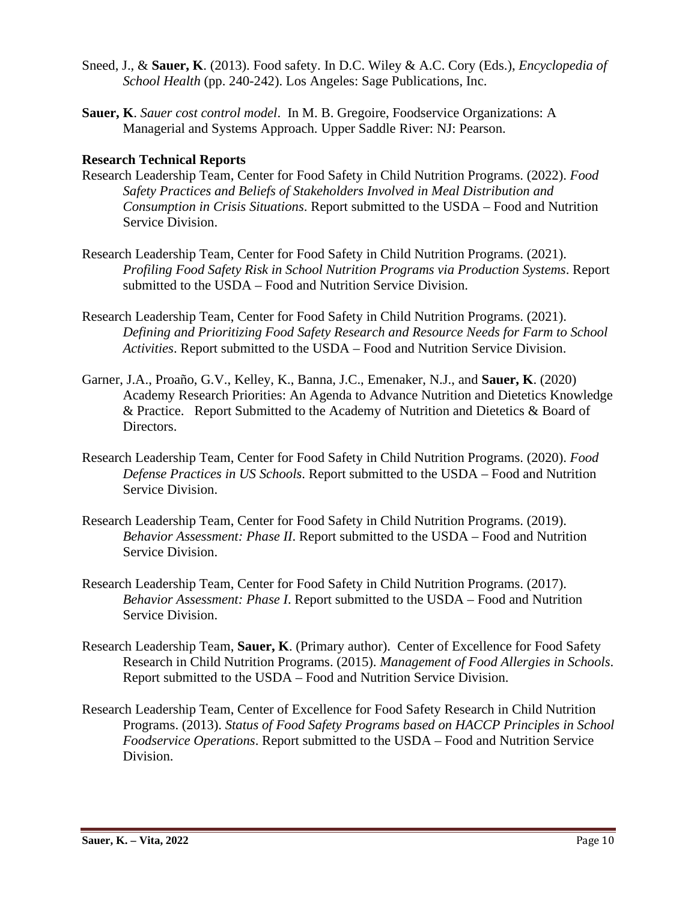- Sneed, J., & **Sauer, K**. (2013). Food safety. In D.C. Wiley & A.C. Cory (Eds.), *Encyclopedia of School Health* (pp. 240-242). Los Angeles: Sage Publications, Inc.
- **Sauer, K**. *Sauer cost control model*. In M. B. Gregoire, Foodservice Organizations: A Managerial and Systems Approach. Upper Saddle River: NJ: Pearson.

## **Research Technical Reports**

- Research Leadership Team, Center for Food Safety in Child Nutrition Programs. (2022). *Food Safety Practices and Beliefs of Stakeholders Involved in Meal Distribution and Consumption in Crisis Situations*. Report submitted to the USDA – Food and Nutrition Service Division.
- Research Leadership Team, Center for Food Safety in Child Nutrition Programs. (2021). *Profiling Food Safety Risk in School Nutrition Programs via Production Systems*. Report submitted to the USDA – Food and Nutrition Service Division.
- Research Leadership Team, Center for Food Safety in Child Nutrition Programs. (2021). *Defining and Prioritizing Food Safety Research and Resource Needs for Farm to School Activities*. Report submitted to the USDA – Food and Nutrition Service Division.
- Garner, J.A., Proaño, G.V., Kelley, K., Banna, J.C., Emenaker, N.J., and **Sauer, K**. (2020) Academy Research Priorities: An Agenda to Advance Nutrition and Dietetics Knowledge & Practice. Report Submitted to the Academy of Nutrition and Dietetics & Board of Directors.
- Research Leadership Team, Center for Food Safety in Child Nutrition Programs. (2020). *Food Defense Practices in US Schools*. Report submitted to the USDA – Food and Nutrition Service Division.
- Research Leadership Team, Center for Food Safety in Child Nutrition Programs. (2019). *Behavior Assessment: Phase II*. Report submitted to the USDA – Food and Nutrition Service Division.
- Research Leadership Team, Center for Food Safety in Child Nutrition Programs. (2017). *Behavior Assessment: Phase I*. Report submitted to the USDA – Food and Nutrition Service Division.
- Research Leadership Team, **Sauer, K**. (Primary author). Center of Excellence for Food Safety Research in Child Nutrition Programs. (2015). *Management of Food Allergies in Schools*. Report submitted to the USDA – Food and Nutrition Service Division.
- Research Leadership Team, Center of Excellence for Food Safety Research in Child Nutrition Programs. (2013). *Status of Food Safety Programs based on HACCP Principles in School Foodservice Operations*. Report submitted to the USDA – Food and Nutrition Service Division.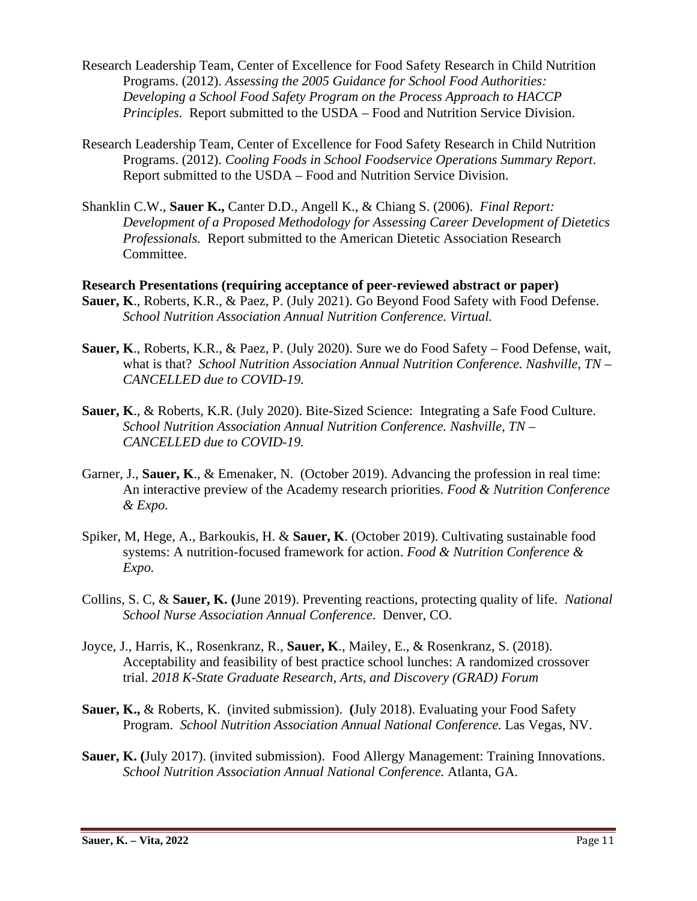- Research Leadership Team, Center of Excellence for Food Safety Research in Child Nutrition Programs. (2012). *Assessing the 2005 Guidance for School Food Authorities: Developing a School Food Safety Program on the Process Approach to HACCP Principles*. Report submitted to the USDA – Food and Nutrition Service Division.
- Research Leadership Team, Center of Excellence for Food Safety Research in Child Nutrition Programs. (2012). *Cooling Foods in School Foodservice Operations Summary Report*. Report submitted to the USDA – Food and Nutrition Service Division.
- Shanklin C.W., **Sauer K.,** Canter D.D., Angell K., & Chiang S. (2006). *Final Report: Development of a Proposed Methodology for Assessing Career Development of Dietetics Professionals.* Report submitted to the American Dietetic Association Research Committee.
- **Research Presentations (requiring acceptance of peer-reviewed abstract or paper) Sauer, K**., Roberts, K.R., & Paez, P. (July 2021). Go Beyond Food Safety with Food Defense. *School Nutrition Association Annual Nutrition Conference. Virtual.*
- **Sauer, K**., Roberts, K.R., & Paez, P. (July 2020). Sure we do Food Safety Food Defense, wait, what is that? *School Nutrition Association Annual Nutrition Conference. Nashville, TN – CANCELLED due to COVID-19.*
- **Sauer, K**., & Roberts, K.R. (July 2020). Bite-Sized Science: Integrating a Safe Food Culture. *School Nutrition Association Annual Nutrition Conference. Nashville, TN – CANCELLED due to COVID-19.*
- Garner, J., **Sauer, K**., & Emenaker, N. (October 2019). Advancing the profession in real time: An interactive preview of the Academy research priorities. *Food & Nutrition Conference & Expo.*
- Spiker, M, Hege, A., Barkoukis, H. & **Sauer, K**. (October 2019). Cultivating sustainable food systems: A nutrition-focused framework for action. *Food & Nutrition Conference & Expo.*
- Collins, S. C, & **Sauer, K. (**June 2019). Preventing reactions, protecting quality of life. *National School Nurse Association Annual Conference*. Denver, CO.
- Joyce, J., Harris, K., Rosenkranz, R., **Sauer, K**., Mailey, E., & Rosenkranz, S. (2018). Acceptability and feasibility of best practice school lunches: A randomized crossover trial. *2018 K-State Graduate Research, Arts, and Discovery (GRAD) Forum*
- **Sauer, K.,** & Roberts, K. (invited submission). **(**July 2018). Evaluating your Food Safety Program. *School Nutrition Association Annual National Conference*. Las Vegas, NV.
- **Sauer, K. (**July 2017). (invited submission). Food Allergy Management: Training Innovations. *School Nutrition Association Annual National Conference.* Atlanta, GA.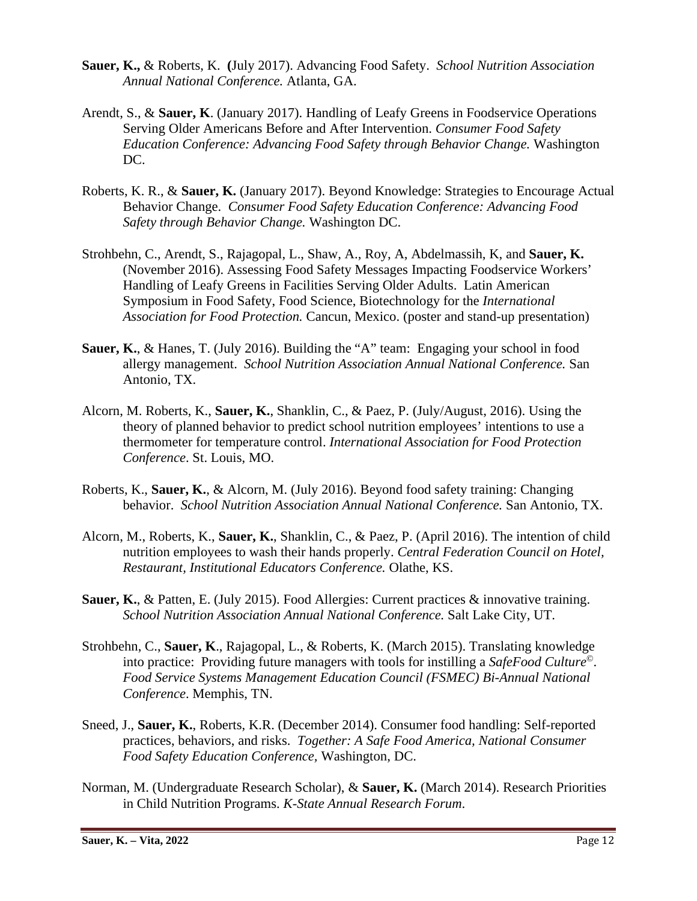- **Sauer, K.,** & Roberts, K. **(**July 2017). Advancing Food Safety. *School Nutrition Association Annual National Conference.* Atlanta, GA.
- Arendt, S., & **Sauer, K**. (January 2017). Handling of Leafy Greens in Foodservice Operations Serving Older Americans Before and After Intervention. *Consumer Food Safety Education Conference: Advancing Food Safety through Behavior Change.* Washington DC.
- Roberts, K. R., & **Sauer, K.** (January 2017). Beyond Knowledge: Strategies to Encourage Actual Behavior Change. *Consumer Food Safety Education Conference: Advancing Food Safety through Behavior Change.* Washington DC.
- Strohbehn, C., Arendt, S., Rajagopal, L., Shaw, A., Roy, A, Abdelmassih, K, and **Sauer, K.**  (November 2016). Assessing Food Safety Messages Impacting Foodservice Workers' Handling of Leafy Greens in Facilities Serving Older Adults. Latin American Symposium in Food Safety, Food Science, Biotechnology for the *International Association for Food Protection.* Cancun, Mexico. (poster and stand-up presentation)
- **Sauer, K.**, & Hanes, T. (July 2016). Building the "A" team: Engaging your school in food allergy management. *School Nutrition Association Annual National Conference.* San Antonio, TX.
- Alcorn, M. Roberts, K., **Sauer, K.**, Shanklin, C., & Paez, P. (July/August, 2016). Using the theory of planned behavior to predict school nutrition employees' intentions to use a thermometer for temperature control. *International Association for Food Protection Conference*. St. Louis, MO.
- Roberts, K., **Sauer, K.**, & Alcorn, M. (July 2016). Beyond food safety training: Changing behavior. *School Nutrition Association Annual National Conference.* San Antonio, TX.
- Alcorn, M., Roberts, K., **Sauer, K.**, Shanklin, C., & Paez, P. (April 2016). The intention of child nutrition employees to wash their hands properly. *Central Federation Council on Hotel, Restaurant, Institutional Educators Conference.* Olathe, KS.
- **Sauer, K., & Patten, E. (July 2015). Food Allergies: Current practices & innovative training.** *School Nutrition Association Annual National Conference.* Salt Lake City, UT.
- Strohbehn, C., **Sauer, K**., Rajagopal, L., & Roberts, K. (March 2015). Translating knowledge into practice: Providing future managers with tools for instilling a *SafeFood Culture*©. *Food Service Systems Management Education Council (FSMEC) Bi-Annual National Conference*. Memphis, TN.
- Sneed, J., **Sauer, K.**, Roberts, K.R. (December 2014). Consumer food handling: Self-reported practices, behaviors, and risks. *Together: A Safe Food America, National Consumer Food Safety Education Conference,* Washington, DC.
- Norman, M. (Undergraduate Research Scholar), & **Sauer, K.** (March 2014). Research Priorities in Child Nutrition Programs. *K-State Annual Research Forum*.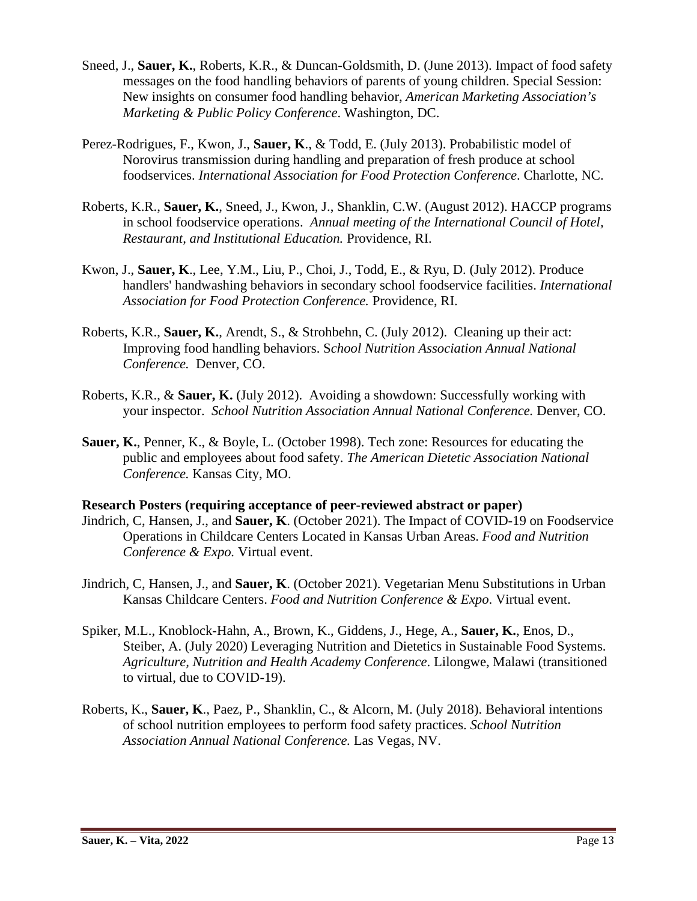- Sneed, J., **Sauer, K.**, Roberts, K.R., & Duncan-Goldsmith, D. (June 2013). Impact of food safety messages on the food handling behaviors of parents of young children. Special Session: New insights on consumer food handling behavior, *American Marketing Association's Marketing & Public Policy Conference*. Washington, DC.
- Perez-Rodrigues, F., Kwon, J., **Sauer, K**., & Todd, E. (July 2013). Probabilistic model of Norovirus transmission during handling and preparation of fresh produce at school foodservices. *International Association for Food Protection Conference*. Charlotte, NC.
- Roberts, K.R., **Sauer, K.**, Sneed, J., Kwon, J., Shanklin, C.W. (August 2012). HACCP programs in school foodservice operations. *Annual meeting of the International Council of Hotel, Restaurant, and Institutional Education.* Providence, RI.
- Kwon, J., **Sauer, K**., Lee, Y.M., Liu, P., Choi, J., Todd, E., & Ryu, D. (July 2012). Produce handlers' handwashing behaviors in secondary school foodservice facilities. *International Association for Food Protection Conference.* Providence, RI.
- Roberts, K.R., **Sauer, K.**, Arendt, S., & Strohbehn, C. (July 2012). Cleaning up their act: Improving food handling behaviors. S*chool Nutrition Association Annual National Conference.* Denver, CO.
- Roberts, K.R., & **Sauer, K.** (July 2012). Avoiding a showdown: Successfully working with your inspector. *School Nutrition Association Annual National Conference.* Denver, CO.
- **Sauer, K.**, Penner, K., & Boyle, L. (October 1998). Tech zone: Resources for educating the public and employees about food safety. *The American Dietetic Association National Conference.* Kansas City, MO.

### **Research Posters (requiring acceptance of peer-reviewed abstract or paper)**

- Jindrich, C, Hansen, J., and **Sauer, K**. (October 2021). The Impact of COVID-19 on Foodservice Operations in Childcare Centers Located in Kansas Urban Areas. *Food and Nutrition Conference & Expo.* Virtual event.
- Jindrich, C, Hansen, J., and **Sauer, K**. (October 2021). Vegetarian Menu Substitutions in Urban Kansas Childcare Centers. *Food and Nutrition Conference & Expo*. Virtual event.
- Spiker, M.L., Knoblock-Hahn, A., Brown, K., Giddens, J., Hege, A., **Sauer, K.**, Enos, D., Steiber, A. (July 2020) Leveraging Nutrition and Dietetics in Sustainable Food Systems. *Agriculture, Nutrition and Health Academy Conference*. Lilongwe, Malawi (transitioned to virtual, due to COVID-19).
- Roberts, K., **Sauer, K**., Paez, P., Shanklin, C., & Alcorn, M. (July 2018). Behavioral intentions of school nutrition employees to perform food safety practices. *School Nutrition Association Annual National Conference.* Las Vegas, NV.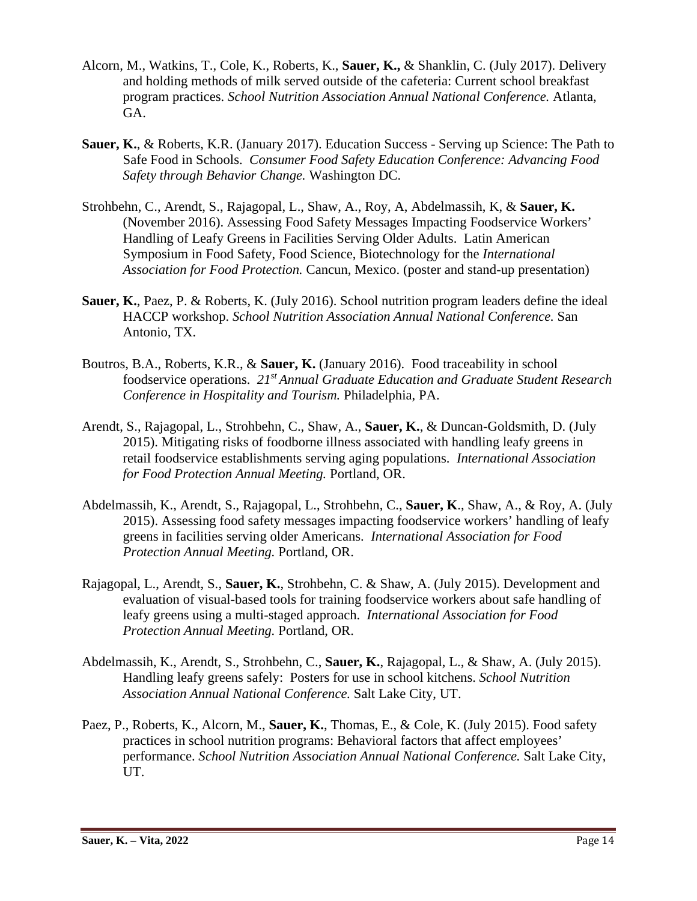- Alcorn, M., Watkins, T., Cole, K., Roberts, K., **Sauer, K.,** & Shanklin, C. (July 2017). Delivery and holding methods of milk served outside of the cafeteria: Current school breakfast program practices. *School Nutrition Association Annual National Conference.* Atlanta, GA.
- **Sauer, K.**, & Roberts, K.R. (January 2017). Education Success Serving up Science: The Path to Safe Food in Schools. *Consumer Food Safety Education Conference: Advancing Food Safety through Behavior Change.* Washington DC.
- Strohbehn, C., Arendt, S., Rajagopal, L., Shaw, A., Roy, A, Abdelmassih, K, & **Sauer, K.**  (November 2016). Assessing Food Safety Messages Impacting Foodservice Workers' Handling of Leafy Greens in Facilities Serving Older Adults. Latin American Symposium in Food Safety, Food Science, Biotechnology for the *International Association for Food Protection.* Cancun, Mexico. (poster and stand-up presentation)
- **Sauer, K.**, Paez, P. & Roberts, K. (July 2016). School nutrition program leaders define the ideal HACCP workshop. *School Nutrition Association Annual National Conference.* San Antonio, TX.
- Boutros, B.A., Roberts, K.R., & **Sauer, K.** (January 2016). Food traceability in school foodservice operations. *21st Annual Graduate Education and Graduate Student Research Conference in Hospitality and Tourism.* Philadelphia, PA.
- Arendt, S., Rajagopal, L., Strohbehn, C., Shaw, A., **Sauer, K.**, & Duncan-Goldsmith, D. (July 2015). Mitigating risks of foodborne illness associated with handling leafy greens in retail foodservice establishments serving aging populations. *International Association for Food Protection Annual Meeting.* Portland, OR.
- Abdelmassih, K., Arendt, S., Rajagopal, L., Strohbehn, C., **Sauer, K**., Shaw, A., & Roy, A. (July 2015). Assessing food safety messages impacting foodservice workers' handling of leafy greens in facilities serving older Americans. *International Association for Food Protection Annual Meeting.* Portland, OR.
- Rajagopal, L., Arendt, S., **Sauer, K.**, Strohbehn, C. & Shaw, A. (July 2015). Development and evaluation of visual-based tools for training foodservice workers about safe handling of leafy greens using a multi-staged approach. *International Association for Food Protection Annual Meeting.* Portland, OR.
- Abdelmassih, K., Arendt, S., Strohbehn, C., **Sauer, K.**, Rajagopal, L., & Shaw, A. (July 2015). Handling leafy greens safely: Posters for use in school kitchens. *School Nutrition Association Annual National Conference.* Salt Lake City, UT.
- Paez, P., Roberts, K., Alcorn, M., **Sauer, K.**, Thomas, E., & Cole, K. (July 2015). Food safety practices in school nutrition programs: Behavioral factors that affect employees' performance. *School Nutrition Association Annual National Conference.* Salt Lake City, UT.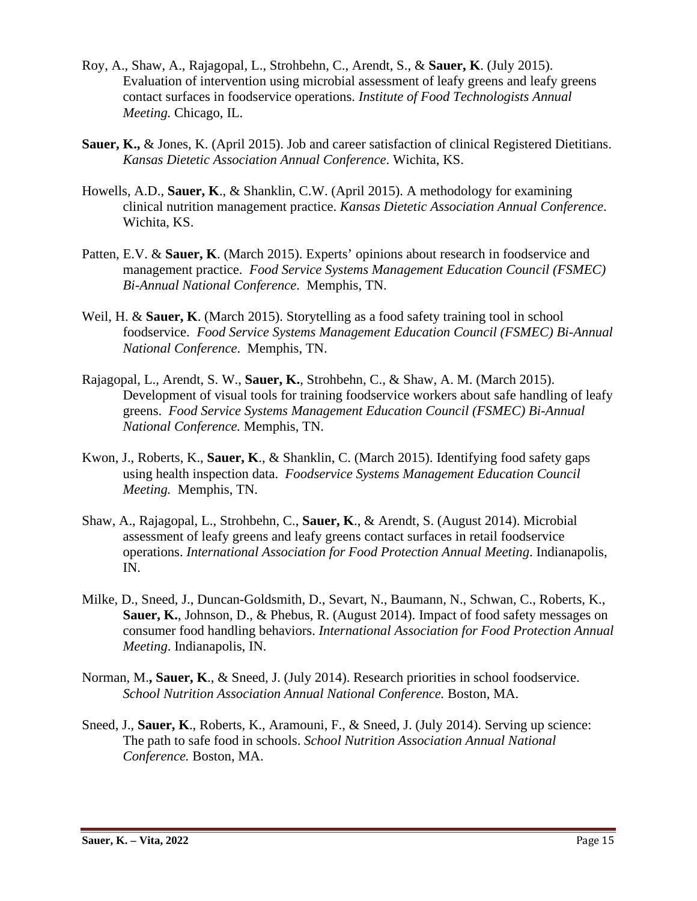- Roy, A., Shaw, A., Rajagopal, L., Strohbehn, C., Arendt, S., & **Sauer, K**. (July 2015). Evaluation of intervention using microbial assessment of leafy greens and leafy greens contact surfaces in foodservice operations. *Institute of Food Technologists Annual Meeting.* Chicago, IL.
- **Sauer, K.,** & Jones, K. (April 2015). Job and career satisfaction of clinical Registered Dietitians. *Kansas Dietetic Association Annual Conference*. Wichita, KS.
- Howells, A.D., **Sauer, K**., & Shanklin, C.W. (April 2015). A methodology for examining clinical nutrition management practice. *Kansas Dietetic Association Annual Conference*. Wichita, KS.
- Patten, E.V. & **Sauer, K**. (March 2015). Experts' opinions about research in foodservice and management practice. *Food Service Systems Management Education Council (FSMEC) Bi-Annual National Conference*. Memphis, TN.
- Weil, H. & **Sauer, K**. (March 2015). Storytelling as a food safety training tool in school foodservice. *Food Service Systems Management Education Council (FSMEC) Bi-Annual National Conference*. Memphis, TN.
- Rajagopal, L., Arendt, S. W., **Sauer, K.**, Strohbehn, C., & Shaw, A. M. (March 2015). Development of visual tools for training foodservice workers about safe handling of leafy greens. *Food Service Systems Management Education Council (FSMEC) Bi-Annual National Conference.* Memphis, TN.
- Kwon, J., Roberts, K., **Sauer, K**., & Shanklin, C. (March 2015). Identifying food safety gaps using health inspection data. *Foodservice Systems Management Education Council Meeting.* Memphis, TN.
- Shaw, A., Rajagopal, L., Strohbehn, C., **Sauer, K**., & Arendt, S. (August 2014). Microbial assessment of leafy greens and leafy greens contact surfaces in retail foodservice operations. *International Association for Food Protection Annual Meeting*. Indianapolis, IN.
- Milke, D., Sneed, J., Duncan-Goldsmith, D., Sevart, N., Baumann, N., Schwan, C., Roberts, K., **Sauer, K.**, Johnson, D., & Phebus, R. (August 2014). Impact of food safety messages on consumer food handling behaviors. *International Association for Food Protection Annual Meeting*. Indianapolis, IN.
- Norman, M.**, Sauer, K**., & Sneed, J. (July 2014). Research priorities in school foodservice. *School Nutrition Association Annual National Conference.* Boston, MA.
- Sneed, J., **Sauer, K**., Roberts, K., Aramouni, F., & Sneed, J. (July 2014). Serving up science: The path to safe food in schools. *School Nutrition Association Annual National Conference.* Boston, MA.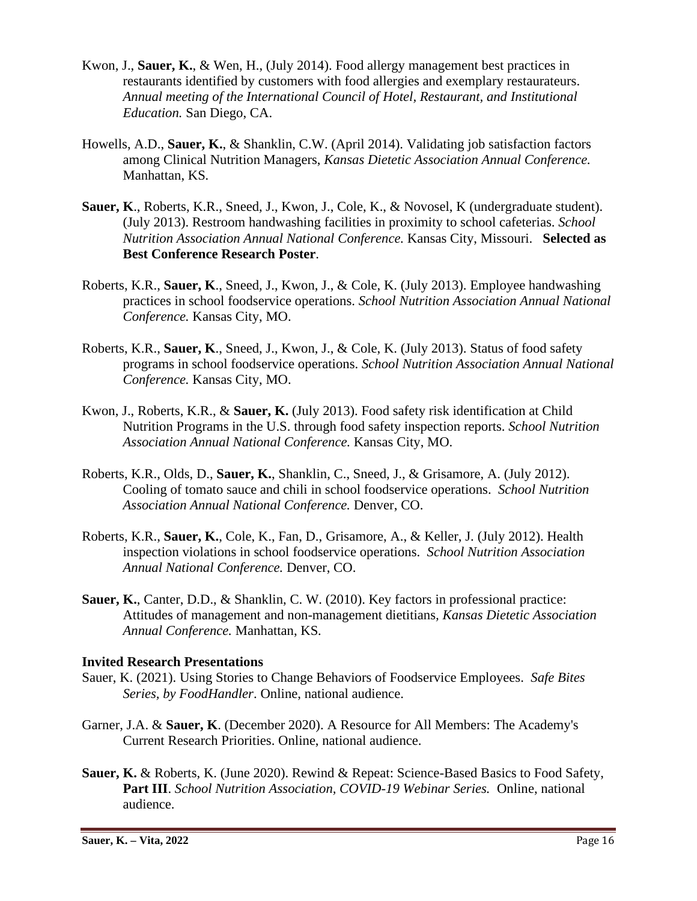- Kwon, J., **Sauer, K.**, & Wen, H., (July 2014). Food allergy management best practices in restaurants identified by customers with food allergies and exemplary restaurateurs. *Annual meeting of the International Council of Hotel, Restaurant, and Institutional Education.* San Diego, CA.
- Howells, A.D., **Sauer, K.**, & Shanklin, C.W. (April 2014). Validating job satisfaction factors among Clinical Nutrition Managers, *Kansas Dietetic Association Annual Conference.*  Manhattan, KS*.*
- **Sauer, K**., Roberts, K.R., Sneed, J., Kwon, J., Cole, K., & Novosel, K (undergraduate student). (July 2013). Restroom handwashing facilities in proximity to school cafeterias. *School Nutrition Association Annual National Conference.* Kansas City, Missouri. **Selected as Best Conference Research Poster**.
- Roberts, K.R., **Sauer, K**., Sneed, J., Kwon, J., & Cole, K. (July 2013). Employee handwashing practices in school foodservice operations. *School Nutrition Association Annual National Conference.* Kansas City, MO.
- Roberts, K.R., **Sauer, K**., Sneed, J., Kwon, J., & Cole, K. (July 2013). Status of food safety programs in school foodservice operations. *School Nutrition Association Annual National Conference.* Kansas City, MO.
- Kwon, J., Roberts, K.R., & **Sauer, K.** (July 2013). Food safety risk identification at Child Nutrition Programs in the U.S. through food safety inspection reports. *School Nutrition Association Annual National Conference.* Kansas City, MO.
- Roberts, K.R., Olds, D., **Sauer, K.**, Shanklin, C., Sneed, J., & Grisamore, A. (July 2012). Cooling of tomato sauce and chili in school foodservice operations. *School Nutrition Association Annual National Conference.* Denver, CO.
- Roberts, K.R., **Sauer, K.**, Cole, K., Fan, D., Grisamore, A., & Keller, J. (July 2012). Health inspection violations in school foodservice operations. *School Nutrition Association Annual National Conference.* Denver, CO.
- **Sauer, K.**, Canter, D.D., & Shanklin, C. W. (2010). Key factors in professional practice: Attitudes of management and non-management dietitians*, Kansas Dietetic Association Annual Conference.* Manhattan, KS*.*

### **Invited Research Presentations**

- Sauer, K. (2021). Using Stories to Change Behaviors of Foodservice Employees. *Safe Bites Series, by FoodHandler*. Online, national audience.
- Garner, J.A. & **Sauer, K**. (December 2020). A Resource for All Members: The Academy's Current Research Priorities. Online, national audience.
- **Sauer, K.** & Roberts, K. (June 2020). Rewind & Repeat: Science-Based Basics to Food Safety, **Part III**. *School Nutrition Association, COVID-19 Webinar Series.* Online, national audience.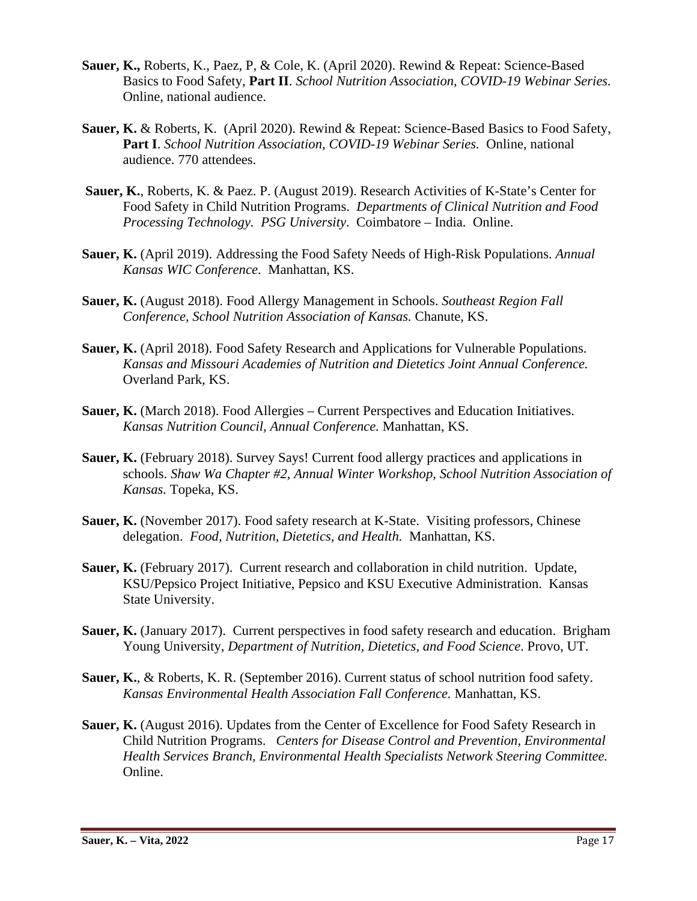- **Sauer, K.,** Roberts, K., Paez, P, & Cole, K. (April 2020). Rewind & Repeat: Science-Based Basics to Food Safety, **Part II**. *School Nutrition Association, COVID-19 Webinar Series.*  Online, national audience.
- **Sauer, K.** & Roberts, K.(April 2020). Rewind & Repeat: Science-Based Basics to Food Safety, **Part I**. *School Nutrition Association, COVID-19 Webinar Series.* Online, national audience. 770 attendees.
- **Sauer, K.**, Roberts, K. & Paez. P. (August 2019). Research Activities of K-State's Center for Food Safety in Child Nutrition Programs. *Departments of Clinical Nutrition and Food Processing Technology. PSG University*. Coimbatore – India. Online.
- **Sauer, K.** (April 2019). Addressing the Food Safety Needs of High-Risk Populations. *Annual Kansas WIC Conference*. Manhattan, KS.
- **Sauer, K.** (August 2018). Food Allergy Management in Schools. *Southeast Region Fall Conference, School Nutrition Association of Kansas.* Chanute, KS.
- **Sauer, K.** (April 2018). Food Safety Research and Applications for Vulnerable Populations. *Kansas and Missouri Academies of Nutrition and Dietetics Joint Annual Conference.*  Overland Park, KS.
- **Sauer, K.** (March 2018). Food Allergies Current Perspectives and Education Initiatives. *Kansas Nutrition Council, Annual Conference.* Manhattan, KS.
- **Sauer, K.** (February 2018). Survey Says! Current food allergy practices and applications in schools. *Shaw Wa Chapter #2, Annual Winter Workshop, School Nutrition Association of Kansas.* Topeka, KS.
- **Sauer, K.** (November 2017). Food safety research at K-State. Visiting professors, Chinese delegation. *Food, Nutrition, Dietetics, and Health.* Manhattan, KS.
- **Sauer, K.** (February 2017). Current research and collaboration in child nutrition. Update, KSU/Pepsico Project Initiative, Pepsico and KSU Executive Administration. Kansas State University.
- **Sauer, K.** (January 2017). Current perspectives in food safety research and education. Brigham Young University, *Department of Nutrition, Dietetics, and Food Science*. Provo, UT.
- **Sauer, K.**, & Roberts, K. R. (September 2016). Current status of school nutrition food safety. *Kansas Environmental Health Association Fall Conference.* Manhattan, KS.
- **Sauer, K.** (August 2016). Updates from the Center of Excellence for Food Safety Research in Child Nutrition Programs. *Centers for Disease Control and Prevention, Environmental Health Services Branch, Environmental Health Specialists Network Steering Committee.* Online.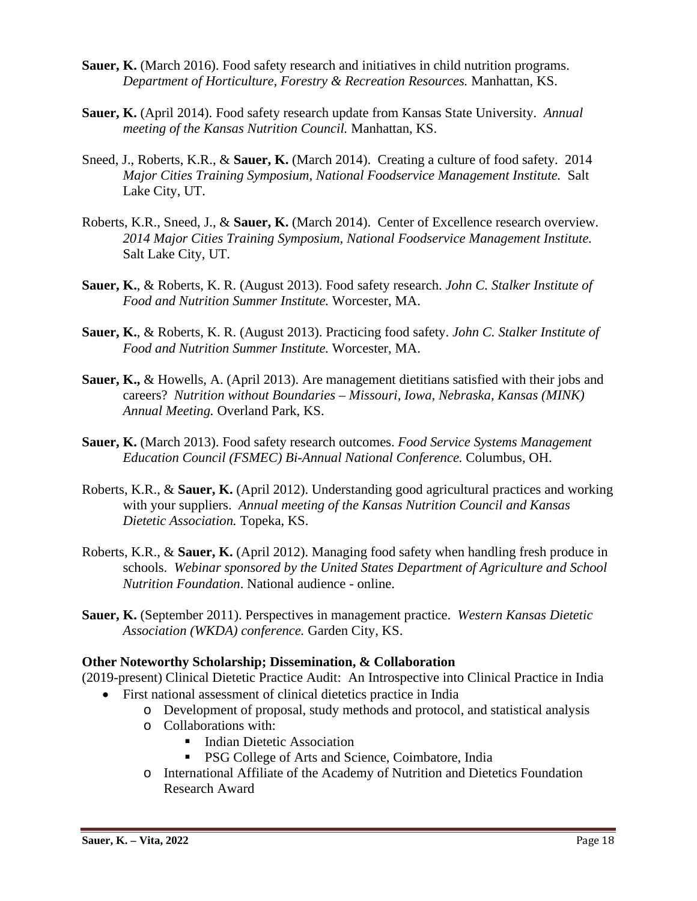- **Sauer, K.** (March 2016). Food safety research and initiatives in child nutrition programs. *Department of Horticulture, Forestry & Recreation Resources.* Manhattan, KS.
- **Sauer, K.** (April 2014). Food safety research update from Kansas State University. *Annual meeting of the Kansas Nutrition Council.* Manhattan, KS.
- Sneed, J., Roberts, K.R., & **Sauer, K.** (March 2014). Creating a culture of food safety. 2014 *Major Cities Training Symposium, National Foodservice Management Institute.* Salt Lake City, UT.
- Roberts, K.R., Sneed, J., & **Sauer, K.** (March 2014). Center of Excellence research overview. *2014 Major Cities Training Symposium, National Foodservice Management Institute.* Salt Lake City, UT.
- **Sauer, K.**, & Roberts, K. R. (August 2013). Food safety research. *John C. Stalker Institute of Food and Nutrition Summer Institute.* Worcester, MA.
- **Sauer, K.**, & Roberts, K. R. (August 2013). Practicing food safety. *John C. Stalker Institute of Food and Nutrition Summer Institute.* Worcester, MA.
- **Sauer, K.,** & Howells, A. (April 2013). Are management dietitians satisfied with their jobs and careers? *Nutrition without Boundaries – Missouri, Iowa, Nebraska, Kansas (MINK) Annual Meeting.* Overland Park, KS.
- **Sauer, K.** (March 2013). Food safety research outcomes. *Food Service Systems Management Education Council (FSMEC) Bi-Annual National Conference.* Columbus, OH.
- Roberts, K.R., & **Sauer, K.** (April 2012). Understanding good agricultural practices and working with your suppliers. *Annual meeting of the Kansas Nutrition Council and Kansas Dietetic Association.* Topeka, KS.
- Roberts, K.R., & **Sauer, K.** (April 2012). Managing food safety when handling fresh produce in schools. *Webinar sponsored by the United States Department of Agriculture and School Nutrition Foundation*. National audience - online.
- **Sauer, K.** (September 2011). Perspectives in management practice.*Western Kansas Dietetic Association (WKDA) conference.* Garden City, KS.

### **Other Noteworthy Scholarship; Dissemination, & Collaboration**

(2019-present) Clinical Dietetic Practice Audit: An Introspective into Clinical Practice in India • First national assessment of clinical dietetics practice in India

- o Development of proposal, study methods and protocol, and statistical analysis
- o Collaborations with:
	- Indian Dietetic Association
	- **PSG College of Arts and Science, Coimbatore, India**
- o International Affiliate of the Academy of Nutrition and Dietetics Foundation Research Award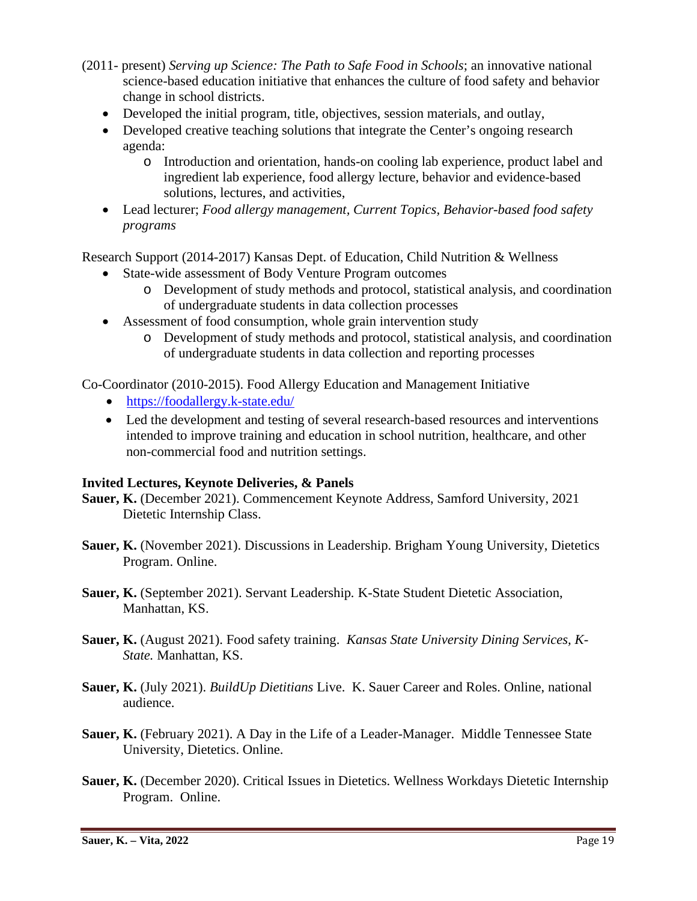- (2011- present) *Serving up Science: The Path to Safe Food in Schools*; an innovative national science-based education initiative that enhances the culture of food safety and behavior change in school districts.
	- Developed the initial program, title, objectives, session materials, and outlay,
	- Developed creative teaching solutions that integrate the Center's ongoing research agenda:
		- o Introduction and orientation, hands-on cooling lab experience, product label and ingredient lab experience, food allergy lecture, behavior and evidence-based solutions, lectures, and activities,
	- Lead lecturer; *Food allergy management, Current Topics, Behavior-based food safety programs*

Research Support (2014-2017) Kansas Dept. of Education, Child Nutrition & Wellness

- State-wide assessment of Body Venture Program outcomes
	- o Development of study methods and protocol, statistical analysis, and coordination of undergraduate students in data collection processes
- Assessment of food consumption, whole grain intervention study
	- o Development of study methods and protocol, statistical analysis, and coordination of undergraduate students in data collection and reporting processes

Co-Coordinator (2010-2015). Food Allergy Education and Management Initiative

- <https://foodallergy.k-state.edu/>
- Led the development and testing of several research-based resources and interventions intended to improve training and education in school nutrition, healthcare, and other non-commercial food and nutrition settings.

### **Invited Lectures, Keynote Deliveries, & Panels**

- **Sauer, K.** (December 2021). Commencement Keynote Address, Samford University, 2021 Dietetic Internship Class.
- **Sauer, K.** (November 2021). Discussions in Leadership. Brigham Young University, Dietetics Program. Online.
- **Sauer, K.** (September 2021). Servant Leadership*.* K-State Student Dietetic Association, Manhattan, KS.
- **Sauer, K.** (August 2021). Food safety training. *Kansas State University Dining Services, K-State.* Manhattan, KS.
- **Sauer, K.** (July 2021). *BuildUp Dietitians* Live. K. Sauer Career and Roles. Online, national audience.
- **Sauer, K.** (February 2021). A Day in the Life of a Leader-Manager. Middle Tennessee State University, Dietetics. Online.
- Sauer, K. (December 2020). Critical Issues in Dietetics. Wellness Workdays Dietetic Internship Program. Online.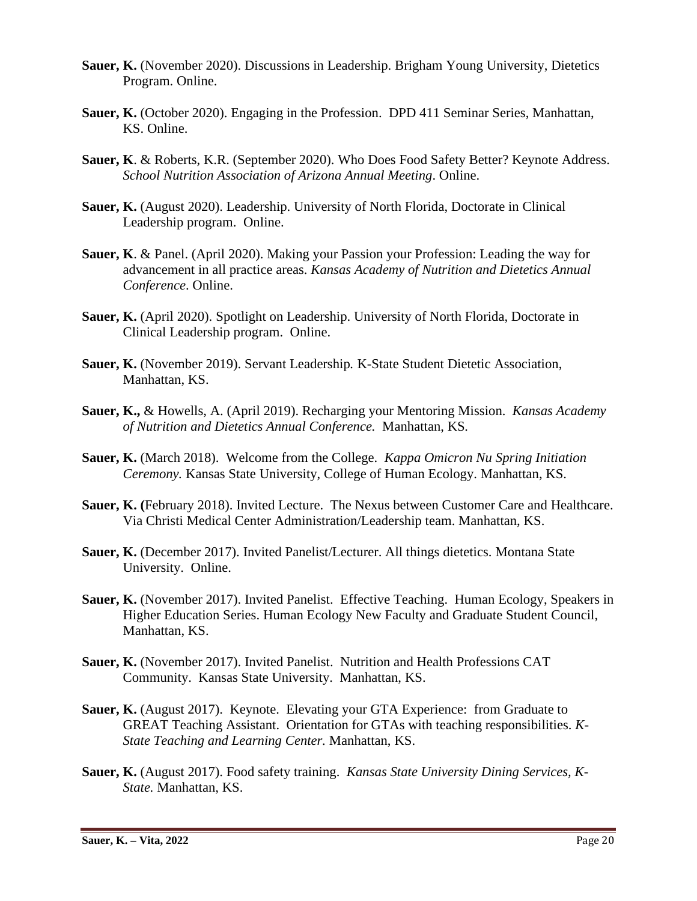- Sauer, K. (November 2020). Discussions in Leadership. Brigham Young University, Dietetics Program. Online.
- **Sauer, K.** (October 2020). Engaging in the Profession. DPD 411 Seminar Series, Manhattan, KS. Online.
- **Sauer, K**. & Roberts, K.R. (September 2020). Who Does Food Safety Better? Keynote Address. *School Nutrition Association of Arizona Annual Meeting*. Online.
- **Sauer, K.** (August 2020). Leadership. University of North Florida, Doctorate in Clinical Leadership program. Online.
- **Sauer, K**. & Panel. (April 2020). Making your Passion your Profession: Leading the way for advancement in all practice areas. *Kansas Academy of Nutrition and Dietetics Annual Conference*. Online.
- **Sauer, K.** (April 2020). Spotlight on Leadership. University of North Florida, Doctorate in Clinical Leadership program. Online.
- **Sauer, K.** (November 2019). Servant Leadership*.* K-State Student Dietetic Association, Manhattan, KS.
- **Sauer, K.,** & Howells, A. (April 2019). Recharging your Mentoring Mission. *Kansas Academy of Nutrition and Dietetics Annual Conference.* Manhattan, KS*.*
- **Sauer, K.** (March 2018). Welcome from the College. *Kappa Omicron Nu Spring Initiation Ceremony.* Kansas State University, College of Human Ecology. Manhattan, KS.
- **Sauer, K. (**February 2018). Invited Lecture. The Nexus between Customer Care and Healthcare. Via Christi Medical Center Administration/Leadership team. Manhattan, KS.
- **Sauer, K.** (December 2017). Invited Panelist/Lecturer. All things dietetics. Montana State University. Online.
- **Sauer, K.** (November 2017). Invited Panelist. Effective Teaching. Human Ecology, Speakers in Higher Education Series. Human Ecology New Faculty and Graduate Student Council, Manhattan, KS.
- **Sauer, K.** (November 2017). Invited Panelist. Nutrition and Health Professions CAT Community. Kansas State University. Manhattan, KS.
- **Sauer, K.** (August 2017). Keynote. Elevating your GTA Experience: from Graduate to GREAT Teaching Assistant. Orientation for GTAs with teaching responsibilities. *K-State Teaching and Learning Center.* Manhattan, KS.
- **Sauer, K.** (August 2017). Food safety training. *Kansas State University Dining Services, K-State.* Manhattan, KS.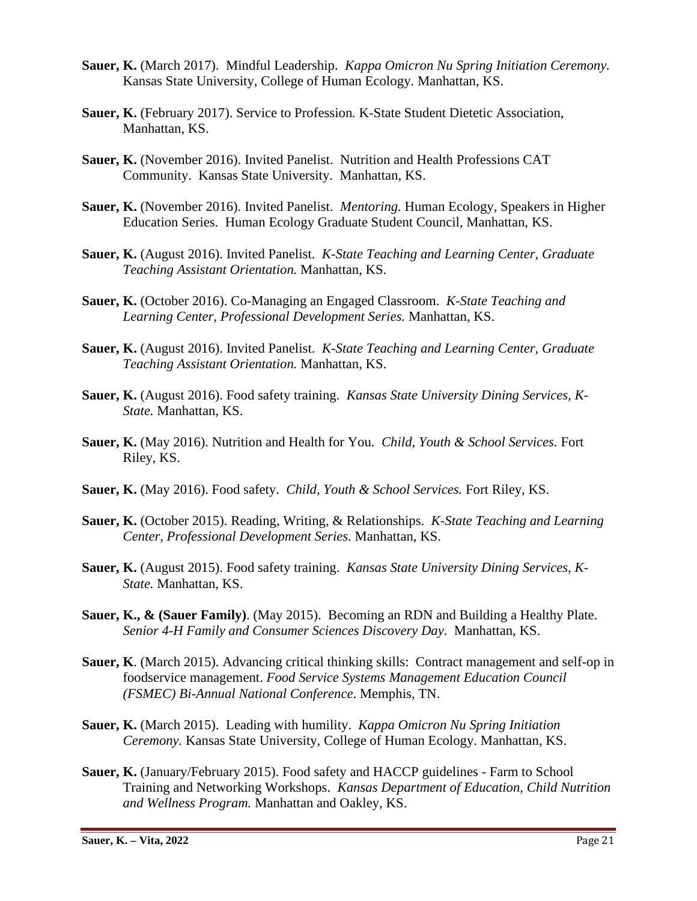- **Sauer, K.** (March 2017). Mindful Leadership. *Kappa Omicron Nu Spring Initiation Ceremony.* Kansas State University, College of Human Ecology. Manhattan, KS.
- **Sauer, K.** (February 2017). Service to Profession*.* K-State Student Dietetic Association, Manhattan, KS.
- **Sauer, K.** (November 2016). Invited Panelist. Nutrition and Health Professions CAT Community. Kansas State University. Manhattan, KS.
- **Sauer, K.** (November 2016). Invited Panelist. *Mentoring.* Human Ecology, Speakers in Higher Education Series. Human Ecology Graduate Student Council, Manhattan, KS.
- **Sauer, K.** (August 2016). Invited Panelist. *K-State Teaching and Learning Center, Graduate Teaching Assistant Orientation.* Manhattan, KS.
- **Sauer, K.** (October 2016). Co-Managing an Engaged Classroom. *K-State Teaching and Learning Center, Professional Development Series.* Manhattan, KS.
- **Sauer, K.** (August 2016). Invited Panelist. *K-State Teaching and Learning Center, Graduate Teaching Assistant Orientation.* Manhattan, KS.
- **Sauer, K.** (August 2016). Food safety training. *Kansas State University Dining Services, K-State.* Manhattan, KS.
- **Sauer, K.** (May 2016). Nutrition and Health for You. *Child, Youth & School Services.* Fort Riley, KS.
- **Sauer, K.** (May 2016). Food safety. *Child, Youth & School Services.* Fort Riley, KS.
- **Sauer, K.** (October 2015). Reading, Writing, & Relationships. *K-State Teaching and Learning Center, Professional Development Series.* Manhattan, KS.
- **Sauer, K.** (August 2015). Food safety training. *Kansas State University Dining Services, K-State.* Manhattan, KS.
- **Sauer, K., & (Sauer Family)**. (May 2015). Becoming an RDN and Building a Healthy Plate. *Senior 4-H Family and Consumer Sciences Discovery Day*. Manhattan, KS.
- **Sauer, K**. (March 2015). Advancing critical thinking skills: Contract management and self-op in foodservice management. *Food Service Systems Management Education Council (FSMEC) Bi-Annual National Conference*. Memphis, TN.
- **Sauer, K.** (March 2015). Leading with humility. *Kappa Omicron Nu Spring Initiation Ceremony.* Kansas State University, College of Human Ecology. Manhattan, KS.
- **Sauer, K.** (January/February 2015). Food safety and HACCP guidelines Farm to School Training and Networking Workshops. *Kansas Department of Education, Child Nutrition and Wellness Program.* Manhattan and Oakley, KS.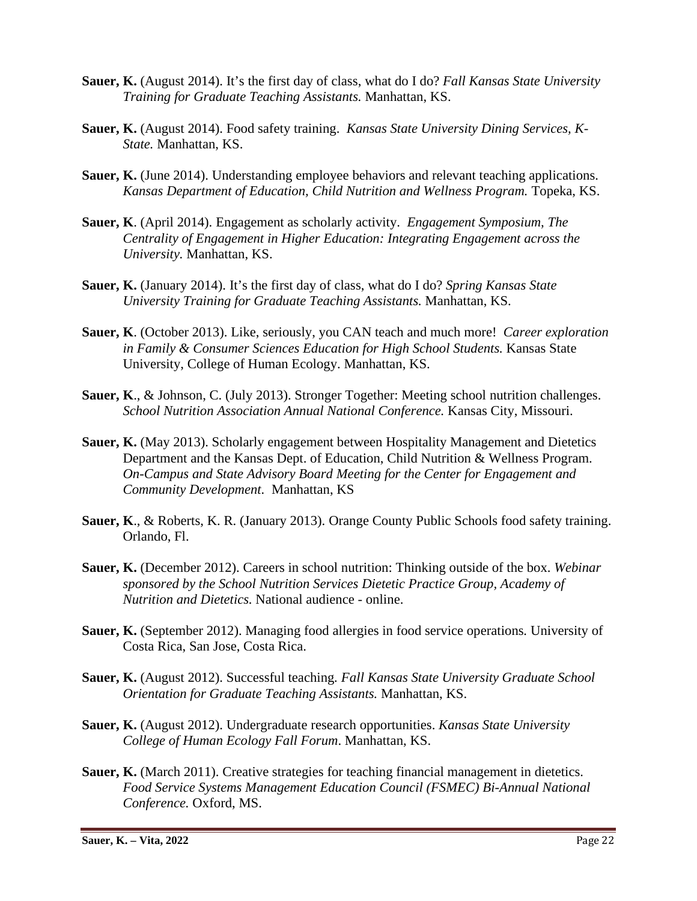- **Sauer, K.** (August 2014). It's the first day of class, what do I do? *Fall Kansas State University Training for Graduate Teaching Assistants.* Manhattan, KS.
- **Sauer, K.** (August 2014). Food safety training. *Kansas State University Dining Services, K-State.* Manhattan, KS.
- **Sauer, K.** (June 2014). Understanding employee behaviors and relevant teaching applications. *Kansas Department of Education, Child Nutrition and Wellness Program.* Topeka, KS.
- **Sauer, K**. (April 2014). Engagement as scholarly activity. *Engagement Symposium, The Centrality of Engagement in Higher Education: Integrating Engagement across the University.* Manhattan, KS.
- **Sauer, K.** (January 2014). It's the first day of class, what do I do? *Spring Kansas State University Training for Graduate Teaching Assistants.* Manhattan, KS.
- **Sauer, K**. (October 2013). Like, seriously, you CAN teach and much more! *Career exploration in Family & Consumer Sciences Education for High School Students.* Kansas State University, College of Human Ecology. Manhattan, KS.
- **Sauer, K**., & Johnson, C. (July 2013). Stronger Together: Meeting school nutrition challenges. *School Nutrition Association Annual National Conference.* Kansas City, Missouri.
- **Sauer, K.** (May 2013). Scholarly engagement between Hospitality Management and Dietetics Department and the Kansas Dept. of Education, Child Nutrition & Wellness Program. *On-Campus and State Advisory Board Meeting for the Center for Engagement and Community Development.* Manhattan, KS
- **Sauer, K**., & Roberts, K. R. (January 2013). Orange County Public Schools food safety training. Orlando, Fl.
- **Sauer, K.** (December 2012). Careers in school nutrition: Thinking outside of the box. *Webinar sponsored by the School Nutrition Services Dietetic Practice Group, Academy of Nutrition and Dietetics.* National audience - online.
- **Sauer, K.** (September 2012). Managing food allergies in food service operations*.* University of Costa Rica, San Jose, Costa Rica.
- **Sauer, K.** (August 2012). Successful teaching*. Fall Kansas State University Graduate School Orientation for Graduate Teaching Assistants.* Manhattan, KS.
- **Sauer, K.** (August 2012). Undergraduate research opportunities. *Kansas State University College of Human Ecology Fall Forum*. Manhattan, KS.
- **Sauer, K.** (March 2011). Creative strategies for teaching financial management in dietetics. *Food Service Systems Management Education Council (FSMEC) Bi-Annual National Conference.* Oxford, MS.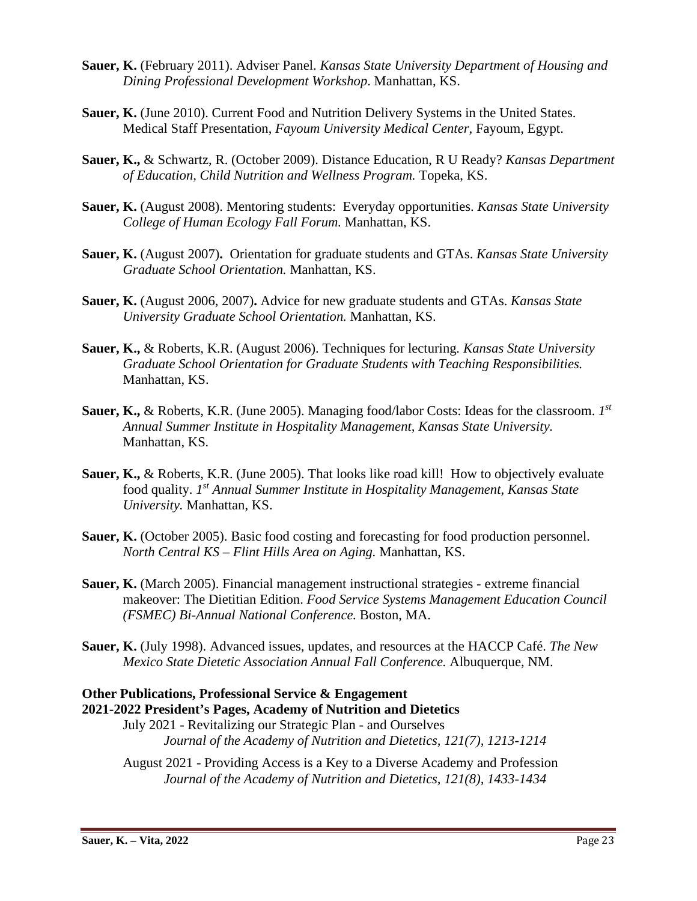- **Sauer, K.** (February 2011). Adviser Panel. *Kansas State University Department of Housing and Dining Professional Development Workshop*. Manhattan, KS.
- **Sauer, K.** (June 2010). Current Food and Nutrition Delivery Systems in the United States. Medical Staff Presentation, *Fayoum University Medical Center,* Fayoum, Egypt.
- **Sauer, K.,** & Schwartz, R. (October 2009). Distance Education, R U Ready? *Kansas Department of Education, Child Nutrition and Wellness Program.* Topeka, KS.
- **Sauer, K.** (August 2008). Mentoring students: Everyday opportunities. *Kansas State University College of Human Ecology Fall Forum.* Manhattan, KS.
- **Sauer, K.** (August 2007)**.** Orientation for graduate students and GTAs. *Kansas State University Graduate School Orientation.* Manhattan, KS.
- **Sauer, K.** (August 2006, 2007)**.** Advice for new graduate students and GTAs. *Kansas State University Graduate School Orientation.* Manhattan, KS.
- **Sauer, K.,** & Roberts, K.R. (August 2006). Techniques for lecturing*. Kansas State University Graduate School Orientation for Graduate Students with Teaching Responsibilities.*  Manhattan, KS.
- **Sauer, K.,** & Roberts, K.R. (June 2005). Managing food/labor Costs: Ideas for the classroom. *1st Annual Summer Institute in Hospitality Management, Kansas State University.*  Manhattan, KS*.*
- **Sauer, K., & Roberts, K.R. (June 2005). That looks like road kill! How to objectively evaluate** food quality. *1st Annual Summer Institute in Hospitality Management, Kansas State University.* Manhattan, KS.
- **Sauer, K.** (October 2005). Basic food costing and forecasting for food production personnel. *North Central KS – Flint Hills Area on Aging.* Manhattan, KS.
- **Sauer, K.** (March 2005). Financial management instructional strategies extreme financial makeover: The Dietitian Edition. *Food Service Systems Management Education Council (FSMEC) Bi-Annual National Conference.* Boston, MA.
- **Sauer, K.** (July 1998). Advanced issues, updates, and resources at the HACCP Café. *The New Mexico State Dietetic Association Annual Fall Conference.* Albuquerque, NM.

## **Other Publications, Professional Service & Engagement 2021-2022 President's Pages, Academy of Nutrition and Dietetics**

July 2021 - Revitalizing our Strategic Plan - and Ourselves *Journal of the Academy of Nutrition and Dietetics, 121(7), 1213-1214*

August 2021 - Providing Access is a Key to a Diverse Academy and Profession *Journal of the Academy of Nutrition and Dietetics, 121(8), 1433-1434*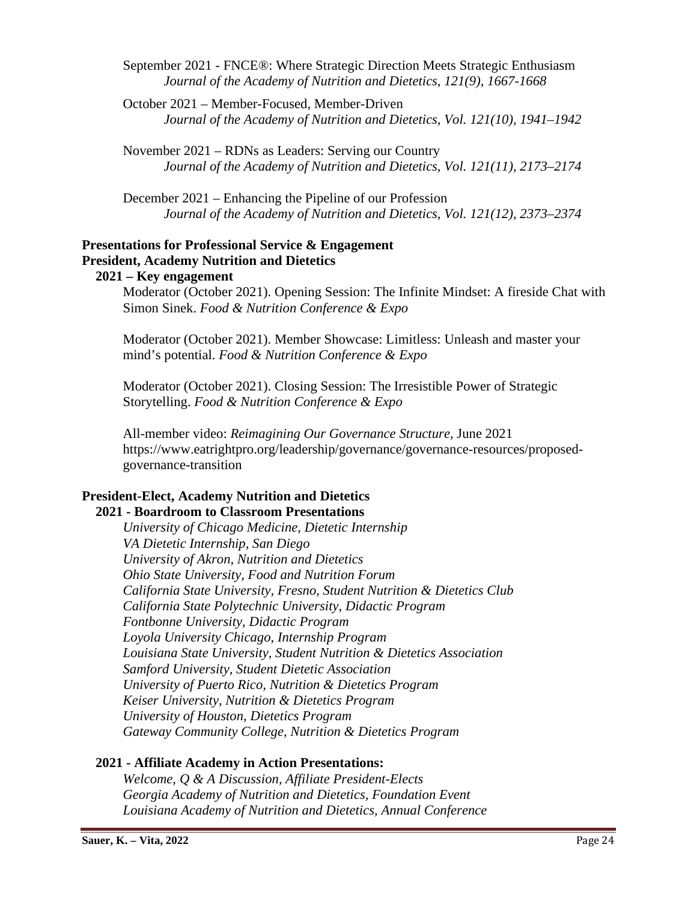September 2021 - FNCE®: Where Strategic Direction Meets Strategic Enthusiasm *Journal of the Academy of Nutrition and Dietetics, 121(9), 1667-1668*

October 2021 – Member-Focused, Member-Driven *Journal of the Academy of Nutrition and Dietetics, Vol. 121(10), 1941–1942*

November 2021 – RDNs as Leaders: Serving our Country *Journal of the Academy of Nutrition and Dietetics, Vol. 121(11), 2173–2174*

December 2021 – Enhancing the Pipeline of our Profession *Journal of the Academy of Nutrition and Dietetics, Vol. 121(12), 2373–2374*

## **Presentations for Professional Service & Engagement President, Academy Nutrition and Dietetics**

 **2021 – Key engagement**

Moderator (October 2021). Opening Session: The Infinite Mindset: A fireside Chat with Simon Sinek. *Food & Nutrition Conference & Expo*

Moderator (October 2021). Member Showcase: Limitless: Unleash and master your mind's potential. *Food & Nutrition Conference & Expo*

Moderator (October 2021). Closing Session: The Irresistible Power of Strategic Storytelling. *Food & Nutrition Conference & Expo*

All-member video: *Reimagining Our Governance Structure*, June 2021 https://www.eatrightpro.org/leadership/governance/governance-resources/proposedgovernance-transition

#### **President-Elect, Academy Nutrition and Dietetics 2021 - Boardroom to Classroom Presentations**

*University of Chicago Medicine, Dietetic Internship VA Dietetic Internship, San Diego University of Akron, Nutrition and Dietetics Ohio State University, Food and Nutrition Forum California State University, Fresno, Student Nutrition & Dietetics Club California State Polytechnic University, Didactic Program Fontbonne University, Didactic Program Loyola University Chicago, Internship Program Louisiana State University, Student Nutrition & Dietetics Association Samford University, Student Dietetic Association University of Puerto Rico, Nutrition & Dietetics Program Keiser University, Nutrition & Dietetics Program University of Houston, Dietetics Program Gateway Community College, Nutrition & Dietetics Program*

## **2021 - Affiliate Academy in Action Presentations:**

*Welcome, Q & A Discussion, Affiliate President-Elects Georgia Academy of Nutrition and Dietetics, Foundation Event Louisiana Academy of Nutrition and Dietetics, Annual Conference*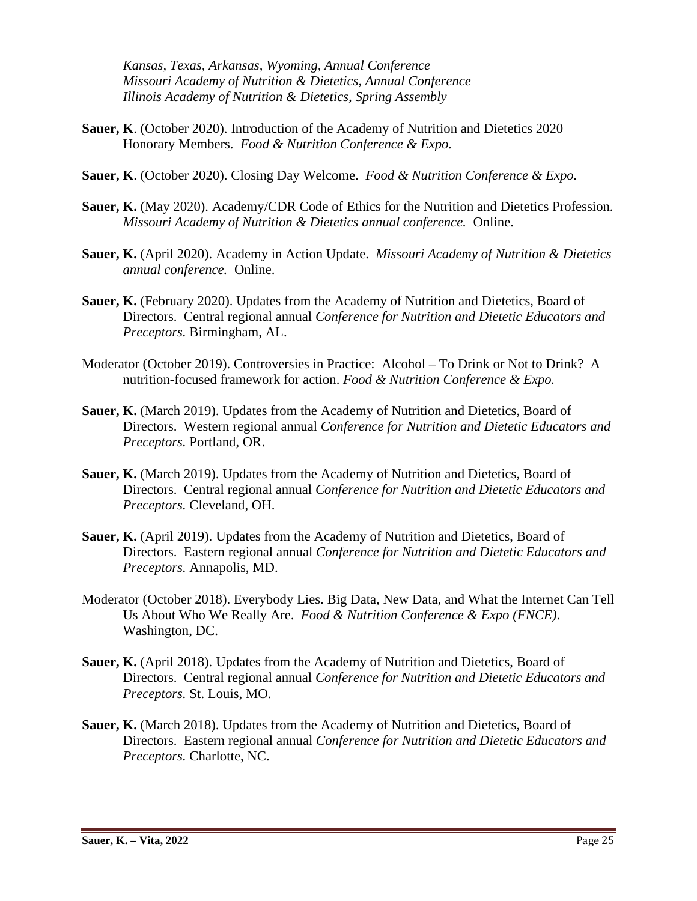*Kansas, Texas, Arkansas, Wyoming, Annual Conference Missouri Academy of Nutrition & Dietetics, Annual Conference Illinois Academy of Nutrition & Dietetics, Spring Assembly*

- **Sauer, K**. (October 2020). Introduction of the Academy of Nutrition and Dietetics 2020 Honorary Members. *Food & Nutrition Conference & Expo.*
- **Sauer, K**. (October 2020). Closing Day Welcome. *Food & Nutrition Conference & Expo.*
- **Sauer, K.** (May 2020). Academy/CDR Code of Ethics for the Nutrition and Dietetics Profession. *Missouri Academy of Nutrition & Dietetics annual conference.* Online.
- **Sauer, K.** (April 2020). Academy in Action Update. *Missouri Academy of Nutrition & Dietetics annual conference.* Online.
- **Sauer, K.** (February 2020). Updates from the Academy of Nutrition and Dietetics, Board of Directors. Central regional annual *Conference for Nutrition and Dietetic Educators and Preceptors.* Birmingham, AL.
- Moderator (October 2019). Controversies in Practice: Alcohol To Drink or Not to Drink? A nutrition-focused framework for action. *Food & Nutrition Conference & Expo.*
- **Sauer, K.** (March 2019). Updates from the Academy of Nutrition and Dietetics, Board of Directors. Western regional annual *Conference for Nutrition and Dietetic Educators and Preceptors.* Portland, OR.
- Sauer, K. (March 2019). Updates from the Academy of Nutrition and Dietetics, Board of Directors. Central regional annual *Conference for Nutrition and Dietetic Educators and Preceptors.* Cleveland, OH.
- **Sauer, K.** (April 2019). Updates from the Academy of Nutrition and Dietetics, Board of Directors. Eastern regional annual *Conference for Nutrition and Dietetic Educators and Preceptors.* Annapolis, MD.
- Moderator (October 2018). Everybody Lies. Big Data, New Data, and What the Internet Can Tell Us About Who We Really Are. *Food & Nutrition Conference & Expo (FNCE)*. Washington, DC.
- **Sauer, K.** (April 2018). Updates from the Academy of Nutrition and Dietetics, Board of Directors. Central regional annual *Conference for Nutrition and Dietetic Educators and Preceptors.* St. Louis, MO.
- Sauer, K. (March 2018). Updates from the Academy of Nutrition and Dietetics, Board of Directors. Eastern regional annual *Conference for Nutrition and Dietetic Educators and Preceptors.* Charlotte, NC.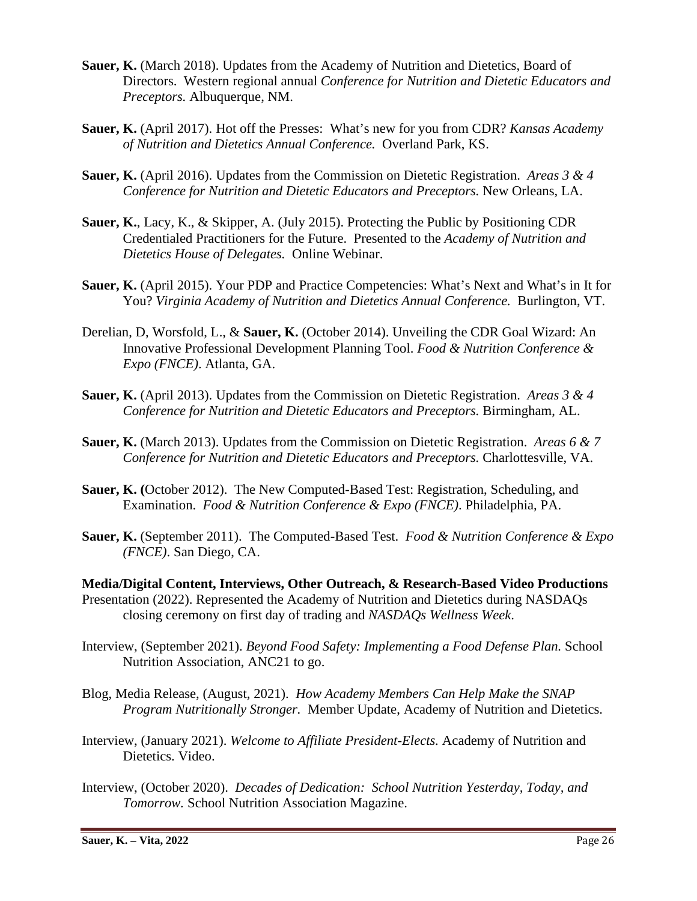- **Sauer, K.** (March 2018). Updates from the Academy of Nutrition and Dietetics, Board of Directors. Western regional annual *Conference for Nutrition and Dietetic Educators and Preceptors.* Albuquerque, NM.
- **Sauer, K.** (April 2017). Hot off the Presses: What's new for you from CDR? *Kansas Academy of Nutrition and Dietetics Annual Conference.* Overland Park, KS.
- **Sauer, K.** (April 2016). Updates from the Commission on Dietetic Registration. *Areas 3 & 4 Conference for Nutrition and Dietetic Educators and Preceptors.* New Orleans, LA.
- **Sauer, K.**, Lacy, K., & Skipper, A. (July 2015). Protecting the Public by Positioning CDR Credentialed Practitioners for the Future. Presented to the *Academy of Nutrition and Dietetics House of Delegates.* Online Webinar.
- **Sauer, K.** (April 2015). Your PDP and Practice Competencies: What's Next and What's in It for You? *Virginia Academy of Nutrition and Dietetics Annual Conference.* Burlington, VT.
- Derelian, D, Worsfold, L., & **Sauer, K.** (October 2014). Unveiling the CDR Goal Wizard: An Innovative Professional Development Planning Tool. *Food & Nutrition Conference & Expo (FNCE)*. Atlanta, GA.
- **Sauer, K.** (April 2013). Updates from the Commission on Dietetic Registration. *Areas 3 & 4 Conference for Nutrition and Dietetic Educators and Preceptors.* Birmingham, AL.
- **Sauer, K.** (March 2013). Updates from the Commission on Dietetic Registration. *Areas 6 & 7 Conference for Nutrition and Dietetic Educators and Preceptors.* Charlottesville, VA.
- **Sauer, K. (**October 2012). The New Computed-Based Test: Registration, Scheduling, and Examination. *Food & Nutrition Conference & Expo (FNCE)*. Philadelphia, PA.
- **Sauer, K.** (September 2011). The Computed-Based Test. *Food & Nutrition Conference & Expo (FNCE)*. San Diego, CA.
- **Media/Digital Content, Interviews, Other Outreach, & Research-Based Video Productions** Presentation (2022). Represented the Academy of Nutrition and Dietetics during NASDAQs closing ceremony on first day of trading and *NASDAQs Wellness Week*.
- Interview, (September 2021). *Beyond Food Safety: Implementing a Food Defense Plan.* School Nutrition Association, ANC21 to go.
- Blog, Media Release, (August, 2021). *How Academy Members Can Help Make the SNAP Program Nutritionally Stronger.* Member Update, Academy of Nutrition and Dietetics.
- Interview, (January 2021). *Welcome to Affiliate President-Elects.* Academy of Nutrition and Dietetics. Video.
- Interview, (October 2020). *Decades of Dedication: School Nutrition Yesterday, Today, and Tomorrow.* School Nutrition Association Magazine.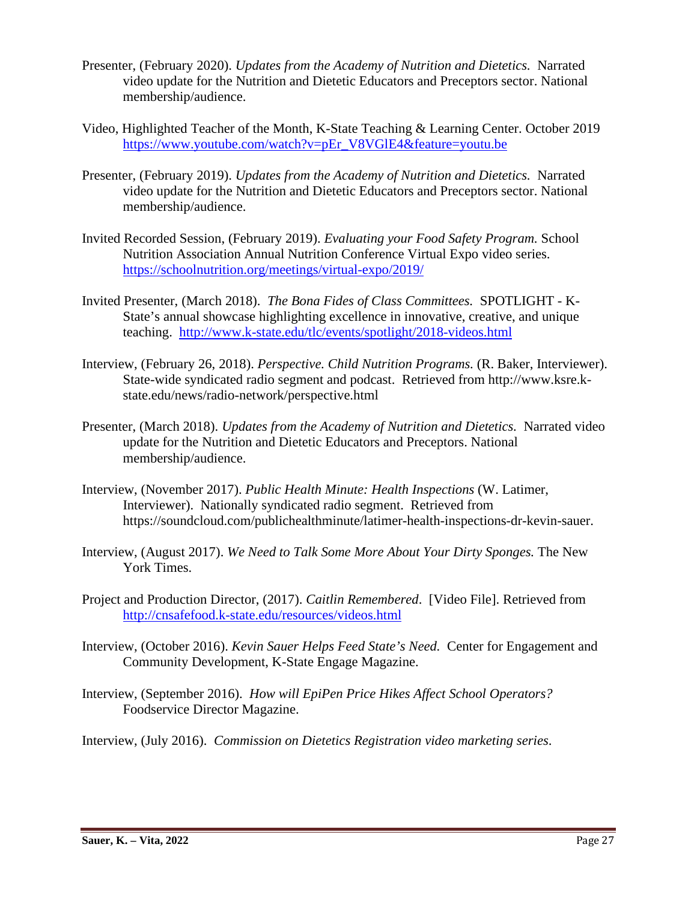- Presenter, (February 2020). *Updates from the Academy of Nutrition and Dietetics.* Narrated video update for the Nutrition and Dietetic Educators and Preceptors sector. National membership/audience.
- Video, Highlighted Teacher of the Month, K-State Teaching & Learning Center. October 2019 [https://www.youtube.com/watch?v=pEr\\_V8VGlE4&feature=youtu.be](https://www.youtube.com/watch?v=pEr_V8VGlE4&feature=youtu.be)
- Presenter, (February 2019). *Updates from the Academy of Nutrition and Dietetics.* Narrated video update for the Nutrition and Dietetic Educators and Preceptors sector. National membership/audience.
- Invited Recorded Session, (February 2019). *Evaluating your Food Safety Program.* School Nutrition Association Annual Nutrition Conference Virtual Expo video series. <https://schoolnutrition.org/meetings/virtual-expo/2019/>
- Invited Presenter, (March 2018). *The Bona Fides of Class Committees.* SPOTLIGHT *-* K-State's annual showcase highlighting excellence in innovative, creative, and unique teaching. <http://www.k-state.edu/tlc/events/spotlight/2018-videos.html>
- Interview, (February 26, 2018). *Perspective. Child Nutrition Programs.* (R. Baker, Interviewer). State-wide syndicated radio segment and podcast. Retrieved from http://www.ksre.kstate.edu/news/radio-network/perspective.html
- Presenter, (March 2018). *Updates from the Academy of Nutrition and Dietetics.* Narrated video update for the Nutrition and Dietetic Educators and Preceptors. National membership/audience.
- Interview, (November 2017). *Public Health Minute: Health Inspections* (W. Latimer, Interviewer). Nationally syndicated radio segment. Retrieved from https://soundcloud.com/publichealthminute/latimer-health-inspections-dr-kevin-sauer.
- Interview, (August 2017). *We Need to Talk Some More About Your Dirty Sponges.* The New York Times.
- Project and Production Director, (2017). *Caitlin Remembered*. [Video File]. Retrieved from <http://cnsafefood.k-state.edu/resources/videos.html>
- Interview, (October 2016). *Kevin Sauer Helps Feed State's Need.* Center for Engagement and Community Development, K-State Engage Magazine.
- Interview, (September 2016). *How will EpiPen Price Hikes Affect School Operators?* Foodservice Director Magazine.

Interview, (July 2016). *Commission on Dietetics Registration video marketing series*.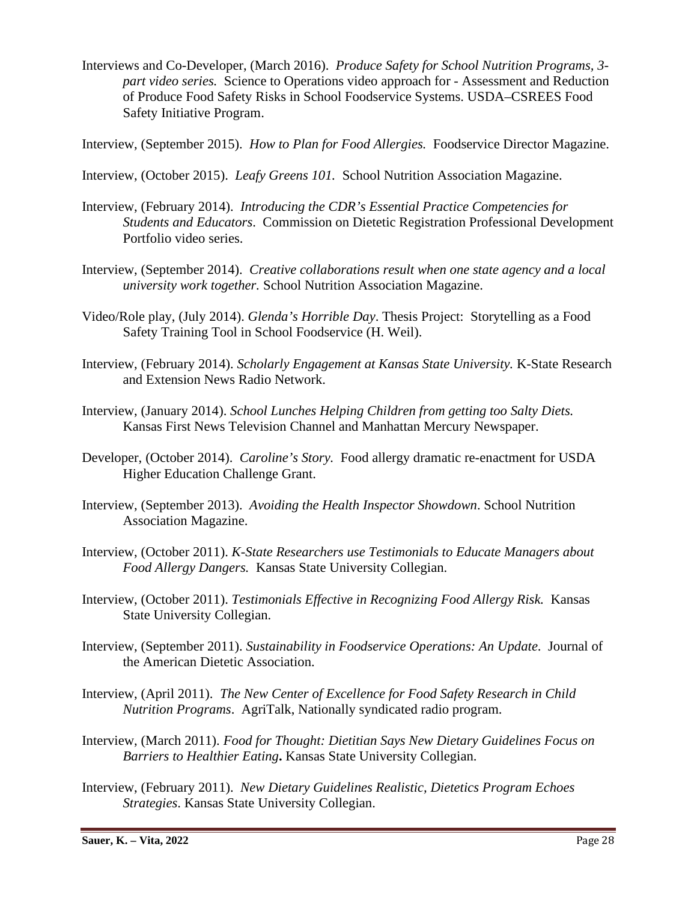Interviews and Co-Developer, (March 2016). *Produce Safety for School Nutrition Programs, 3 part video series.* Science to Operations video approach for - Assessment and Reduction of Produce Food Safety Risks in School Foodservice Systems. USDA–CSREES Food Safety Initiative Program.

Interview, (September 2015). *How to Plan for Food Allergies.* Foodservice Director Magazine.

Interview, (October 2015). *Leafy Greens 101.* School Nutrition Association Magazine.

- Interview, (February 2014). *Introducing the CDR's Essential Practice Competencies for Students and Educators*. Commission on Dietetic Registration Professional Development Portfolio video series.
- Interview, (September 2014). *Creative collaborations result when one state agency and a local university work together.* School Nutrition Association Magazine.
- Video/Role play, (July 2014). *Glenda's Horrible Day*. Thesis Project: Storytelling as a Food Safety Training Tool in School Foodservice (H. Weil).
- Interview, (February 2014). *Scholarly Engagement at Kansas State University.* K-State Research and Extension News Radio Network.
- Interview, (January 2014). *School Lunches Helping Children from getting too Salty Diets.* Kansas First News Television Channel and Manhattan Mercury Newspaper.
- Developer, (October 2014). *Caroline's Story.* Food allergy dramatic re-enactment for USDA Higher Education Challenge Grant.
- Interview, (September 2013). *Avoiding the Health Inspector Showdown*. School Nutrition Association Magazine.
- Interview, (October 2011). *K-State Researchers use Testimonials to Educate Managers about Food Allergy Dangers.* Kansas State University Collegian.
- Interview, (October 2011). *Testimonials Effective in Recognizing Food Allergy Risk.* Kansas State University Collegian.
- Interview, (September 2011). *Sustainability in Foodservice Operations: An Update*. Journal of the American Dietetic Association.
- Interview, (April 2011). *The New Center of Excellence for Food Safety Research in Child Nutrition Programs*. AgriTalk, Nationally syndicated radio program.
- Interview, (March 2011). *Food for Thought: Dietitian Says New Dietary Guidelines Focus on Barriers to Healthier Eating***.** Kansas State University Collegian.
- Interview, (February 2011). *New Dietary Guidelines Realistic, Dietetics Program Echoes Strategies*. Kansas State University Collegian.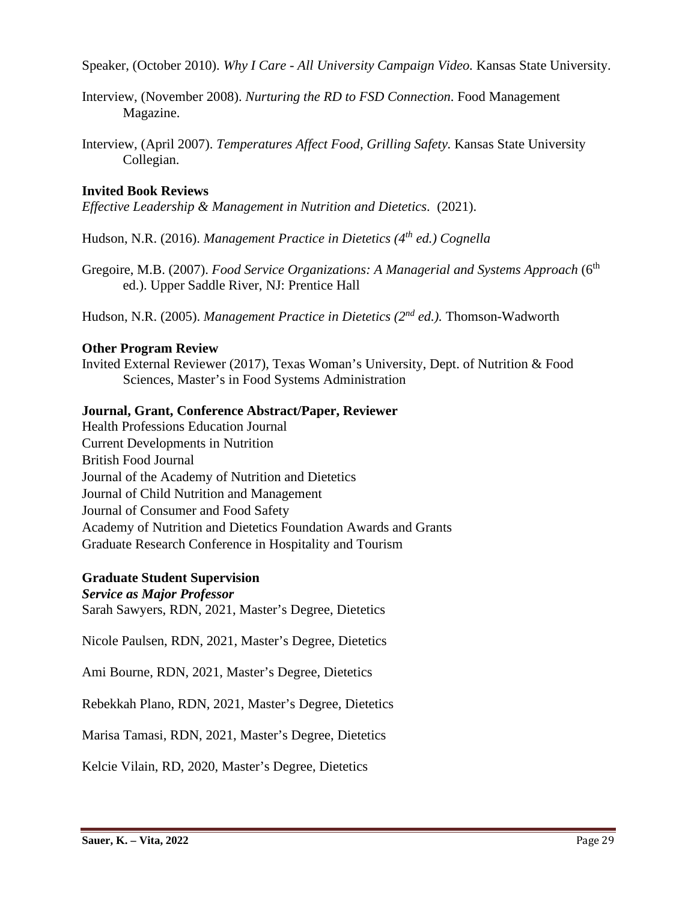Speaker, (October 2010). *Why I Care - All University Campaign Video.* Kansas State University.

- Interview, (November 2008). *Nurturing the RD to FSD Connection*. Food Management Magazine.
- Interview, (April 2007). *Temperatures Affect Food, Grilling Safety.* Kansas State University Collegian.

## **Invited Book Reviews**

*Effective Leadership & Management in Nutrition and Dietetics*. (2021).

Hudson, N.R. (2016). *Management Practice in Dietetics (4th ed.) Cognella*

Gregoire, M.B. (2007). *Food Service Organizations: A Managerial and Systems Approach* (6<sup>th</sup>) ed.). Upper Saddle River, NJ: Prentice Hall

Hudson, N.R. (2005). *Management Practice in Dietetics (2nd ed.).* Thomson-Wadworth

### **Other Program Review**

Invited External Reviewer (2017), Texas Woman's University, Dept. of Nutrition & Food Sciences, Master's in Food Systems Administration

### **Journal, Grant, Conference Abstract/Paper, Reviewer**

Health Professions Education Journal Current Developments in Nutrition British Food Journal Journal of the Academy of Nutrition and Dietetics Journal of Child Nutrition and Management Journal of Consumer and Food Safety Academy of Nutrition and Dietetics Foundation Awards and Grants Graduate Research Conference in Hospitality and Tourism

## **Graduate Student Supervision**

*Service as Major Professor* Sarah Sawyers, RDN, 2021, Master's Degree, Dietetics

Nicole Paulsen, RDN, 2021, Master's Degree, Dietetics

Ami Bourne, RDN, 2021, Master's Degree, Dietetics

Rebekkah Plano, RDN, 2021, Master's Degree, Dietetics

Marisa Tamasi, RDN, 2021, Master's Degree, Dietetics

Kelcie Vilain, RD, 2020, Master's Degree, Dietetics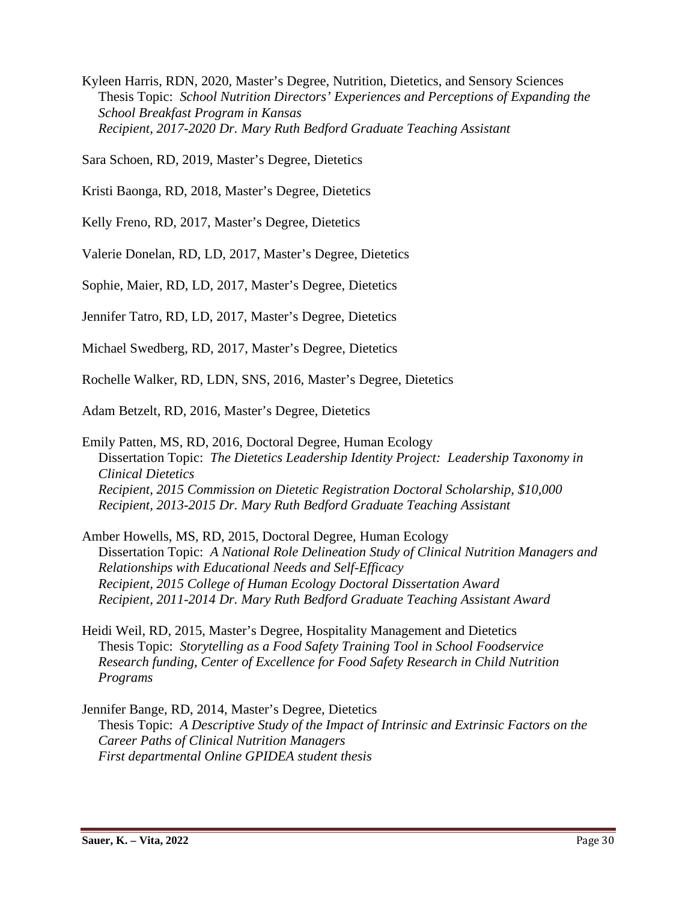Kyleen Harris, RDN, 2020, Master's Degree, Nutrition, Dietetics, and Sensory Sciences Thesis Topic: *School Nutrition Directors' Experiences and Perceptions of Expanding the School Breakfast Program in Kansas Recipient, 2017-2020 Dr. Mary Ruth Bedford Graduate Teaching Assistant*

Sara Schoen, RD, 2019, Master's Degree, Dietetics

Kristi Baonga, RD, 2018, Master's Degree, Dietetics

Kelly Freno, RD, 2017, Master's Degree, Dietetics

Valerie Donelan, RD, LD, 2017, Master's Degree, Dietetics

Sophie, Maier, RD, LD, 2017, Master's Degree, Dietetics

Jennifer Tatro, RD, LD, 2017, Master's Degree, Dietetics

Michael Swedberg, RD, 2017, Master's Degree, Dietetics

Rochelle Walker, RD, LDN, SNS, 2016, Master's Degree, Dietetics

Adam Betzelt, RD, 2016, Master's Degree, Dietetics

Emily Patten, MS, RD, 2016, Doctoral Degree, Human Ecology Dissertation Topic: *The Dietetics Leadership Identity Project: Leadership Taxonomy in Clinical Dietetics Recipient, 2015 Commission on Dietetic Registration Doctoral Scholarship, \$10,000 Recipient, 2013-2015 Dr. Mary Ruth Bedford Graduate Teaching Assistant*

Amber Howells, MS, RD, 2015, Doctoral Degree, Human Ecology Dissertation Topic: *A National Role Delineation Study of Clinical Nutrition Managers and Relationships with Educational Needs and Self-Efficacy Recipient, 2015 College of Human Ecology Doctoral Dissertation Award Recipient, 2011-2014 Dr. Mary Ruth Bedford Graduate Teaching Assistant Award*

Heidi Weil, RD, 2015, Master's Degree, Hospitality Management and Dietetics Thesis Topic: *Storytelling as a Food Safety Training Tool in School Foodservice Research funding, Center of Excellence for Food Safety Research in Child Nutrition Programs*

Jennifer Bange, RD, 2014, Master's Degree, Dietetics Thesis Topic: *A Descriptive Study of the Impact of Intrinsic and Extrinsic Factors on the Career Paths of Clinical Nutrition Managers First departmental Online GPIDEA student thesis*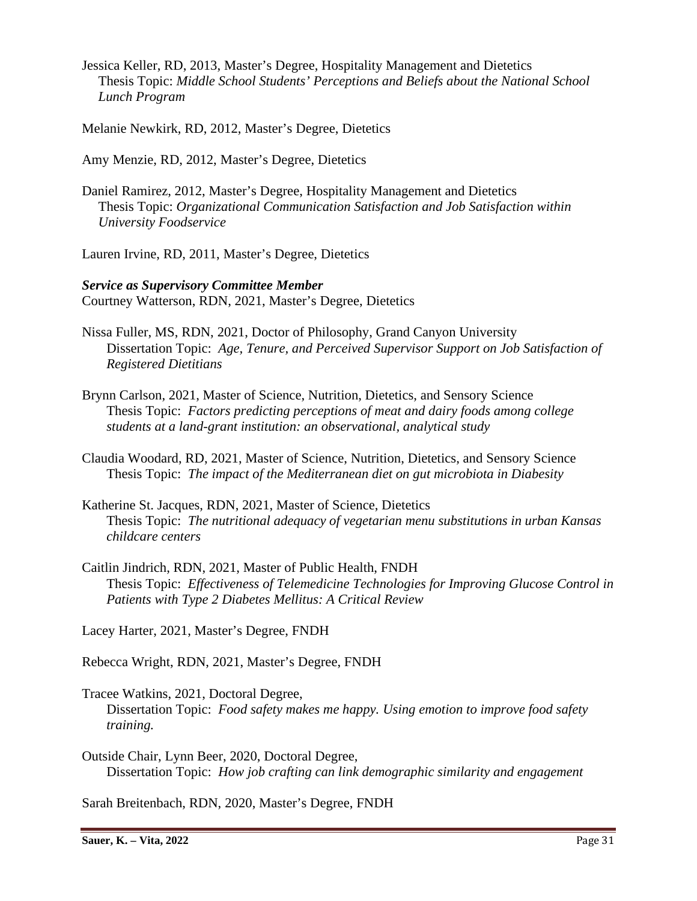Jessica Keller, RD, 2013, Master's Degree, Hospitality Management and Dietetics Thesis Topic: *Middle School Students' Perceptions and Beliefs about the National School Lunch Program*

Melanie Newkirk, RD, 2012, Master's Degree, Dietetics

Amy Menzie, RD, 2012, Master's Degree, Dietetics

Daniel Ramirez, 2012, Master's Degree, Hospitality Management and Dietetics Thesis Topic: *Organizational Communication Satisfaction and Job Satisfaction within University Foodservice*

Lauren Irvine, RD, 2011, Master's Degree, Dietetics

*Service as Supervisory Committee Member* Courtney Watterson, RDN, 2021, Master's Degree, Dietetics

- Nissa Fuller, MS, RDN, 2021, Doctor of Philosophy, Grand Canyon University Dissertation Topic: *Age, Tenure, and Perceived Supervisor Support on Job Satisfaction of Registered Dietitians*
- Brynn Carlson, 2021, Master of Science, Nutrition, Dietetics, and Sensory Science Thesis Topic: *Factors predicting perceptions of meat and dairy foods among college students at a land-grant institution: an observational, analytical study*
- Claudia Woodard, RD, 2021, Master of Science, Nutrition, Dietetics, and Sensory Science Thesis Topic: *The impact of the Mediterranean diet on gut microbiota in Diabesity*
- Katherine St. Jacques, RDN, 2021, Master of Science, Dietetics Thesis Topic: *The nutritional adequacy of vegetarian menu substitutions in urban Kansas childcare centers*
- Caitlin Jindrich, RDN, 2021, Master of Public Health, FNDH Thesis Topic: *Effectiveness of Telemedicine Technologies for Improving Glucose Control in Patients with Type 2 Diabetes Mellitus: A Critical Review*

Lacey Harter, 2021, Master's Degree, FNDH

Rebecca Wright, RDN, 2021, Master's Degree, FNDH

- Tracee Watkins, 2021, Doctoral Degree, Dissertation Topic: *Food safety makes me happy. Using emotion to improve food safety training.*
- Outside Chair, Lynn Beer, 2020, Doctoral Degree, Dissertation Topic: *How job crafting can link demographic similarity and engagement*

Sarah Breitenbach, RDN, 2020, Master's Degree, FNDH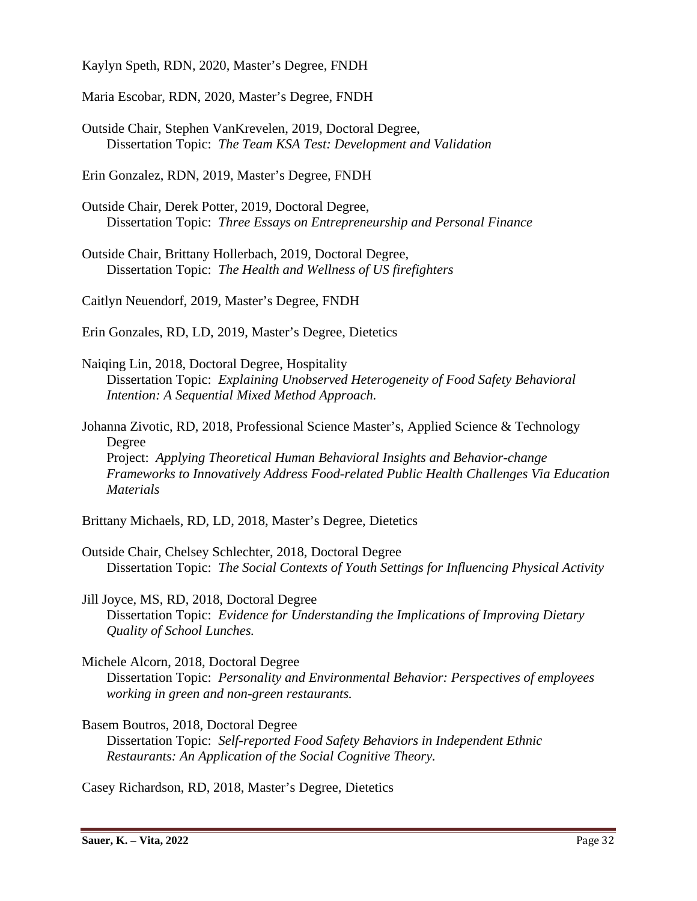Kaylyn Speth, RDN, 2020, Master's Degree, FNDH

Maria Escobar, RDN, 2020, Master's Degree, FNDH

Outside Chair, Stephen VanKrevelen, 2019, Doctoral Degree, Dissertation Topic: *The Team KSA Test: Development and Validation*

Erin Gonzalez, RDN, 2019, Master's Degree, FNDH

Outside Chair, Derek Potter, 2019, Doctoral Degree, Dissertation Topic: *Three Essays on Entrepreneurship and Personal Finance*

Outside Chair, Brittany Hollerbach, 2019, Doctoral Degree, Dissertation Topic: *The Health and Wellness of US firefighters*

Caitlyn Neuendorf, 2019, Master's Degree, FNDH

Erin Gonzales, RD, LD, 2019, Master's Degree, Dietetics

Naiqing Lin, 2018, Doctoral Degree, Hospitality Dissertation Topic: *Explaining Unobserved Heterogeneity of Food Safety Behavioral Intention: A Sequential Mixed Method Approach.*

Johanna Zivotic, RD, 2018, Professional Science Master's, Applied Science & Technology Degree Project: *Applying Theoretical Human Behavioral Insights and Behavior-change Frameworks to Innovatively Address Food-related Public Health Challenges Via Education Materials*

Brittany Michaels, RD, LD, 2018, Master's Degree, Dietetics

Outside Chair, Chelsey Schlechter, 2018, Doctoral Degree Dissertation Topic: *The Social Contexts of Youth Settings for Influencing Physical Activity*

Jill Joyce, MS, RD, 2018, Doctoral Degree Dissertation Topic: *Evidence for Understanding the Implications of Improving Dietary Quality of School Lunches.*

Michele Alcorn, 2018, Doctoral Degree Dissertation Topic: *Personality and Environmental Behavior: Perspectives of employees working in green and non-green restaurants.*

Basem Boutros, 2018, Doctoral Degree Dissertation Topic: *Self-reported Food Safety Behaviors in Independent Ethnic Restaurants: An Application of the Social Cognitive Theory.*

Casey Richardson, RD, 2018, Master's Degree, Dietetics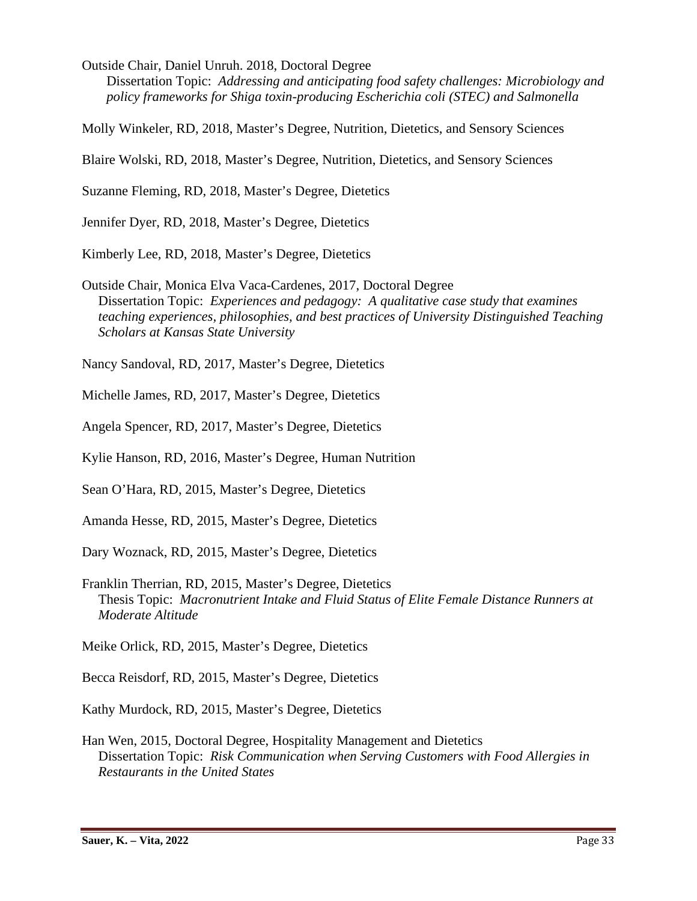Outside Chair, Daniel Unruh. 2018, Doctoral Degree Dissertation Topic: *Addressing and anticipating food safety challenges: Microbiology and policy frameworks for Shiga toxin-producing Escherichia coli (STEC) and Salmonella*

Molly Winkeler, RD, 2018, Master's Degree, Nutrition, Dietetics, and Sensory Sciences

Blaire Wolski, RD, 2018, Master's Degree, Nutrition, Dietetics, and Sensory Sciences

Suzanne Fleming, RD, 2018, Master's Degree, Dietetics

Jennifer Dyer, RD, 2018, Master's Degree, Dietetics

Kimberly Lee, RD, 2018, Master's Degree, Dietetics

Outside Chair, Monica Elva Vaca-Cardenes, 2017, Doctoral Degree Dissertation Topic: *Experiences and pedagogy: A qualitative case study that examines teaching experiences, philosophies, and best practices of University Distinguished Teaching Scholars at Kansas State University*

Nancy Sandoval, RD, 2017, Master's Degree, Dietetics

Michelle James, RD, 2017, Master's Degree, Dietetics

Angela Spencer, RD, 2017, Master's Degree, Dietetics

Kylie Hanson, RD, 2016, Master's Degree, Human Nutrition

Sean O'Hara, RD, 2015, Master's Degree, Dietetics

Amanda Hesse, RD, 2015, Master's Degree, Dietetics

Dary Woznack, RD, 2015, Master's Degree, Dietetics

Franklin Therrian, RD, 2015, Master's Degree, Dietetics Thesis Topic: *Macronutrient Intake and Fluid Status of Elite Female Distance Runners at Moderate Altitude*

Meike Orlick, RD, 2015, Master's Degree, Dietetics

Becca Reisdorf, RD, 2015, Master's Degree, Dietetics

Kathy Murdock, RD, 2015, Master's Degree, Dietetics

Han Wen, 2015, Doctoral Degree, Hospitality Management and Dietetics Dissertation Topic: *Risk Communication when Serving Customers with Food Allergies in Restaurants in the United States*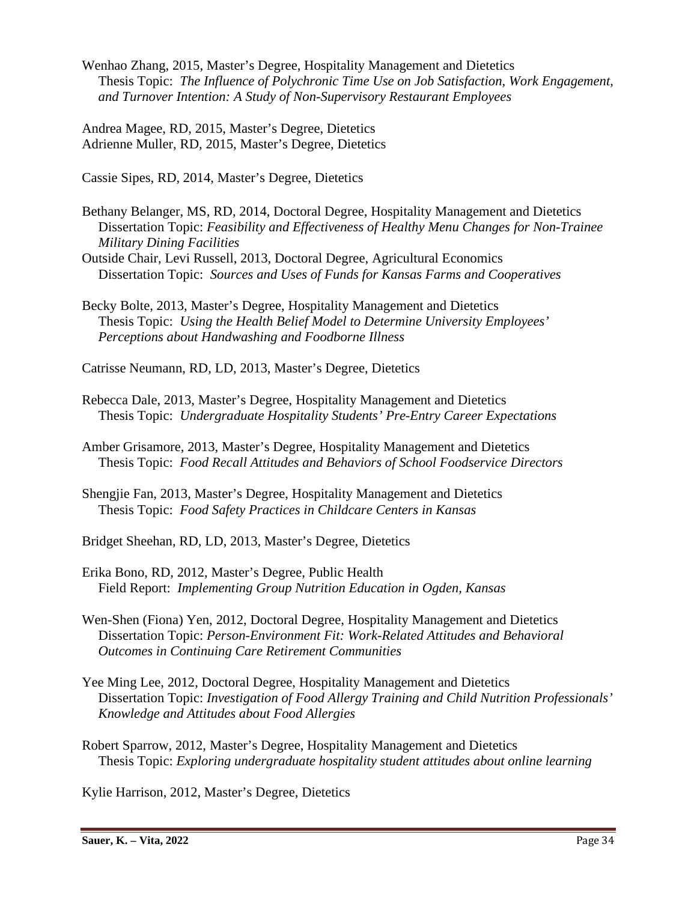Wenhao Zhang, 2015, Master's Degree, Hospitality Management and Dietetics Thesis Topic: *The Influence of Polychronic Time Use on Job Satisfaction, Work Engagement, and Turnover Intention: A Study of Non-Supervisory Restaurant Employees*

Andrea Magee, RD, 2015, Master's Degree, Dietetics Adrienne Muller, RD, 2015, Master's Degree, Dietetics

Cassie Sipes, RD, 2014, Master's Degree, Dietetics

Bethany Belanger, MS, RD, 2014, Doctoral Degree, Hospitality Management and Dietetics Dissertation Topic: *Feasibility and Effectiveness of Healthy Menu Changes for Non-Trainee Military Dining Facilities*

Outside Chair, Levi Russell, 2013, Doctoral Degree, Agricultural Economics Dissertation Topic: *Sources and Uses of Funds for Kansas Farms and Cooperatives*

Becky Bolte, 2013, Master's Degree, Hospitality Management and Dietetics Thesis Topic: *Using the Health Belief Model to Determine University Employees' Perceptions about Handwashing and Foodborne Illness*

Catrisse Neumann, RD, LD, 2013, Master's Degree, Dietetics

- Rebecca Dale, 2013, Master's Degree, Hospitality Management and Dietetics Thesis Topic: *Undergraduate Hospitality Students' Pre-Entry Career Expectations*
- Amber Grisamore, 2013, Master's Degree, Hospitality Management and Dietetics Thesis Topic: *Food Recall Attitudes and Behaviors of School Foodservice Directors*
- Shengjie Fan, 2013, Master's Degree, Hospitality Management and Dietetics Thesis Topic: *Food Safety Practices in Childcare Centers in Kansas*

Bridget Sheehan, RD, LD, 2013, Master's Degree, Dietetics

- Erika Bono, RD, 2012, Master's Degree, Public Health Field Report: *Implementing Group Nutrition Education in Ogden, Kansas*
- Wen-Shen (Fiona) Yen, 2012, Doctoral Degree, Hospitality Management and Dietetics Dissertation Topic: *Person-Environment Fit: Work-Related Attitudes and Behavioral Outcomes in Continuing Care Retirement Communities*
- Yee Ming Lee, 2012, Doctoral Degree, Hospitality Management and Dietetics Dissertation Topic: *Investigation of Food Allergy Training and Child Nutrition Professionals' Knowledge and Attitudes about Food Allergies*
- Robert Sparrow, 2012, Master's Degree, Hospitality Management and Dietetics Thesis Topic: *Exploring undergraduate hospitality student attitudes about online learning*

Kylie Harrison, 2012, Master's Degree, Dietetics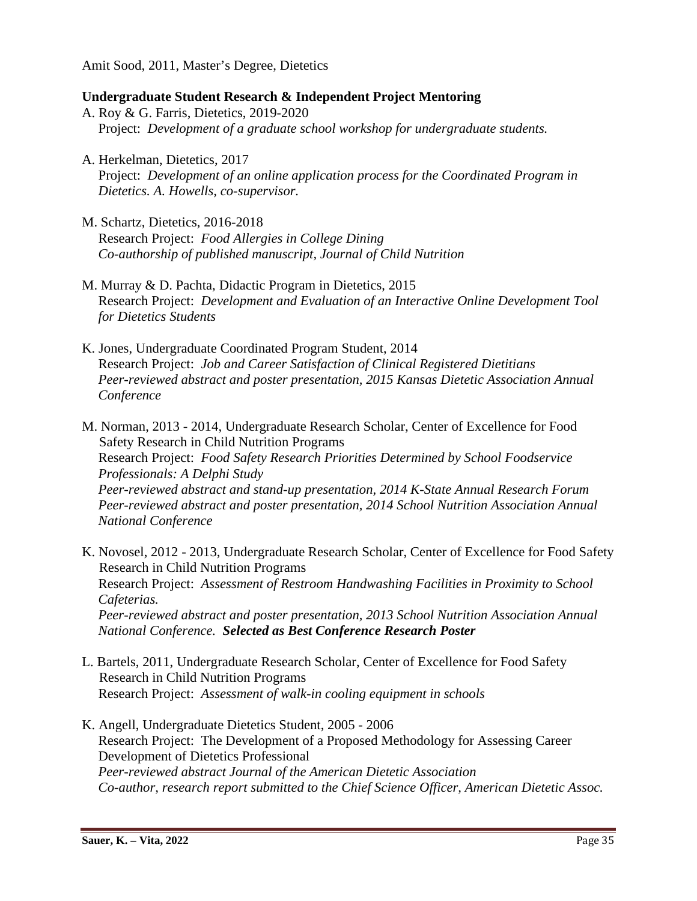Amit Sood, 2011, Master's Degree, Dietetics

### **Undergraduate Student Research & Independent Project Mentoring**

- A. Roy & G. Farris, Dietetics, 2019-2020 Project: *Development of a graduate school workshop for undergraduate students.*
- A. Herkelman, Dietetics, 2017 Project: *Development of an online application process for the Coordinated Program in Dietetics. A. Howells, co-supervisor.*
- M. Schartz, Dietetics, 2016-2018 Research Project: *Food Allergies in College Dining Co-authorship of published manuscript, Journal of Child Nutrition*
- M. Murray & D. Pachta, Didactic Program in Dietetics, 2015 Research Project: *Development and Evaluation of an Interactive Online Development Tool for Dietetics Students*
- K. Jones, Undergraduate Coordinated Program Student, 2014 Research Project: *Job and Career Satisfaction of Clinical Registered Dietitians Peer-reviewed abstract and poster presentation, 2015 Kansas Dietetic Association Annual Conference*
- M. Norman, 2013 2014, Undergraduate Research Scholar, Center of Excellence for Food Safety Research in Child Nutrition Programs Research Project: *Food Safety Research Priorities Determined by School Foodservice Professionals: A Delphi Study Peer-reviewed abstract and stand-up presentation, 2014 K-State Annual Research Forum Peer-reviewed abstract and poster presentation, 2014 School Nutrition Association Annual National Conference*
- K. Novosel, 2012 2013, Undergraduate Research Scholar, Center of Excellence for Food Safety Research in Child Nutrition Programs Research Project: *Assessment of Restroom Handwashing Facilities in Proximity to School Cafeterias. Peer-reviewed abstract and poster presentation, 2013 School Nutrition Association Annual National Conference. Selected as Best Conference Research Poster*
- L. Bartels, 2011, Undergraduate Research Scholar, Center of Excellence for Food Safety Research in Child Nutrition Programs Research Project: *Assessment of walk-in cooling equipment in schools*
- K. Angell, Undergraduate Dietetics Student, 2005 2006 Research Project: The Development of a Proposed Methodology for Assessing Career Development of Dietetics Professional *Peer-reviewed abstract Journal of the American Dietetic Association Co-author, research report submitted to the Chief Science Officer, American Dietetic Assoc.*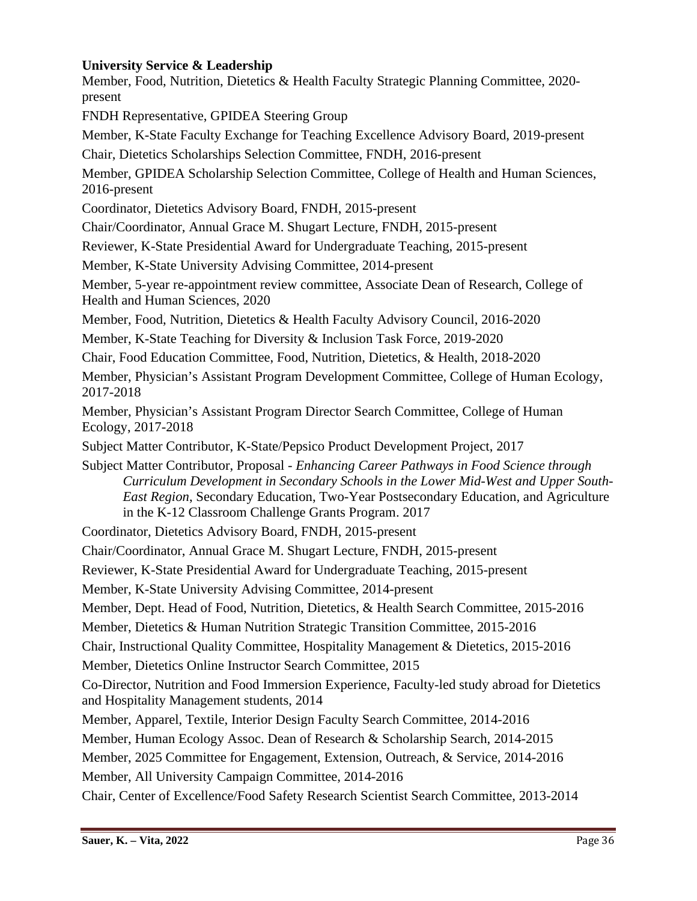## **University Service & Leadership**

Member, Food, Nutrition, Dietetics & Health Faculty Strategic Planning Committee, 2020 present FNDH Representative, GPIDEA Steering Group Member, K-State Faculty Exchange for Teaching Excellence Advisory Board, 2019-present Chair, Dietetics Scholarships Selection Committee, FNDH, 2016-present Member, GPIDEA Scholarship Selection Committee, College of Health and Human Sciences, 2016-present Coordinator, Dietetics Advisory Board, FNDH, 2015-present Chair/Coordinator, Annual Grace M. Shugart Lecture, FNDH, 2015-present Reviewer, K-State Presidential Award for Undergraduate Teaching, 2015-present Member, K-State University Advising Committee, 2014-present Member, 5-year re-appointment review committee, Associate Dean of Research, College of Health and Human Sciences, 2020 Member, Food, Nutrition, Dietetics & Health Faculty Advisory Council, 2016-2020 Member, K-State Teaching for Diversity & Inclusion Task Force, 2019-2020 Chair, Food Education Committee, Food, Nutrition, Dietetics, & Health, 2018-2020 Member, Physician's Assistant Program Development Committee, College of Human Ecology, 2017-2018 Member, Physician's Assistant Program Director Search Committee, College of Human Ecology, 2017-2018 Subject Matter Contributor, K-State/Pepsico Product Development Project, 2017 Subject Matter Contributor, Proposal - *Enhancing Career Pathways in Food Science through Curriculum Development in Secondary Schools in the Lower Mid-West and Upper South-East Region*, Secondary Education, Two-Year Postsecondary Education, and Agriculture in the K-12 Classroom Challenge Grants Program. 2017 Coordinator, Dietetics Advisory Board, FNDH, 2015-present Chair/Coordinator, Annual Grace M. Shugart Lecture, FNDH, 2015-present Reviewer, K-State Presidential Award for Undergraduate Teaching, 2015-present Member, K-State University Advising Committee, 2014-present Member, Dept. Head of Food, Nutrition, Dietetics, & Health Search Committee, 2015-2016 Member, Dietetics & Human Nutrition Strategic Transition Committee, 2015-2016 Chair, Instructional Quality Committee, Hospitality Management & Dietetics, 2015-2016 Member, Dietetics Online Instructor Search Committee, 2015 Co-Director, Nutrition and Food Immersion Experience, Faculty-led study abroad for Dietetics and Hospitality Management students, 2014 Member, Apparel, Textile, Interior Design Faculty Search Committee, 2014-2016 Member, Human Ecology Assoc. Dean of Research & Scholarship Search, 2014-2015 Member, 2025 Committee for Engagement, Extension, Outreach, & Service, 2014-2016 Member, All University Campaign Committee, 2014-2016 Chair, Center of Excellence/Food Safety Research Scientist Search Committee, 2013-2014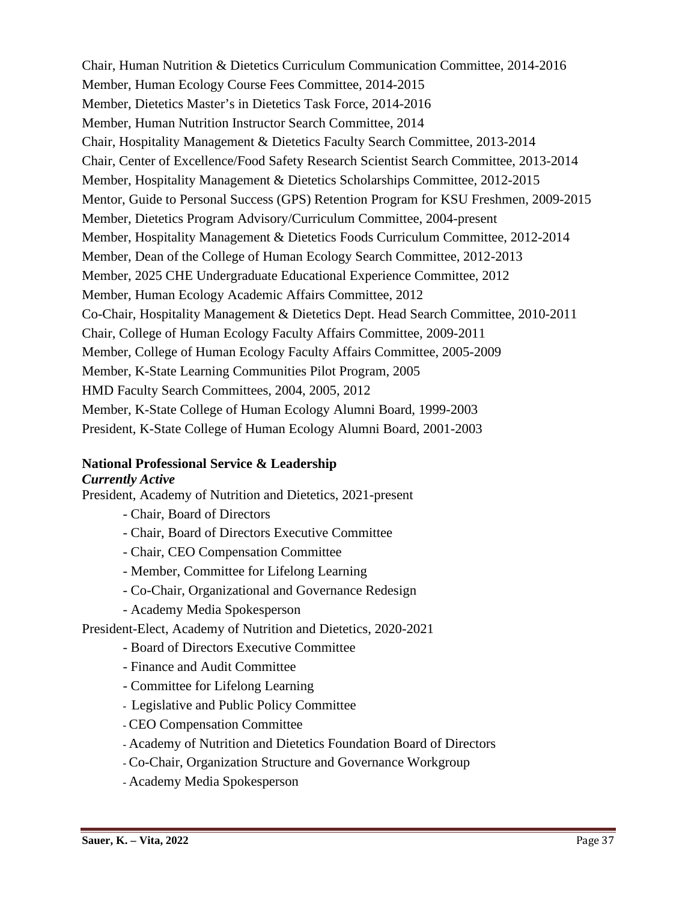Chair, Human Nutrition & Dietetics Curriculum Communication Committee, 2014-2016 Member, Human Ecology Course Fees Committee, 2014-2015 Member, Dietetics Master's in Dietetics Task Force, 2014-2016 Member, Human Nutrition Instructor Search Committee, 2014 Chair, Hospitality Management & Dietetics Faculty Search Committee, 2013-2014 Chair, Center of Excellence/Food Safety Research Scientist Search Committee, 2013-2014 Member, Hospitality Management & Dietetics Scholarships Committee, 2012-2015 Mentor, Guide to Personal Success (GPS) Retention Program for KSU Freshmen, 2009-2015 Member, Dietetics Program Advisory/Curriculum Committee, 2004-present Member, Hospitality Management & Dietetics Foods Curriculum Committee, 2012-2014 Member, Dean of the College of Human Ecology Search Committee, 2012-2013 Member, 2025 CHE Undergraduate Educational Experience Committee, 2012 Member, Human Ecology Academic Affairs Committee, 2012 Co-Chair, Hospitality Management & Dietetics Dept. Head Search Committee, 2010-2011 Chair, College of Human Ecology Faculty Affairs Committee, 2009-2011 Member, College of Human Ecology Faculty Affairs Committee, 2005-2009 Member, K-State Learning Communities Pilot Program, 2005 HMD Faculty Search Committees, 2004, 2005, 2012 Member, K-State College of Human Ecology Alumni Board, 1999-2003 President, K-State College of Human Ecology Alumni Board, 2001-2003

## **National Professional Service & Leadership**

### *Currently Active*

President, Academy of Nutrition and Dietetics, 2021-present

- Chair, Board of Directors
- Chair, Board of Directors Executive Committee
- Chair, CEO Compensation Committee
- Member, Committee for Lifelong Learning
- Co-Chair, Organizational and Governance Redesign
- Academy Media Spokesperson

President-Elect, Academy of Nutrition and Dietetics, 2020-2021

- Board of Directors Executive Committee
- Finance and Audit Committee
- Committee for Lifelong Learning
- **-** Legislative and Public Policy Committee
- **-** CEO Compensation Committee
- **-** Academy of Nutrition and Dietetics Foundation Board of Directors
- **-** Co-Chair, Organization Structure and Governance Workgroup
- **-** Academy Media Spokesperson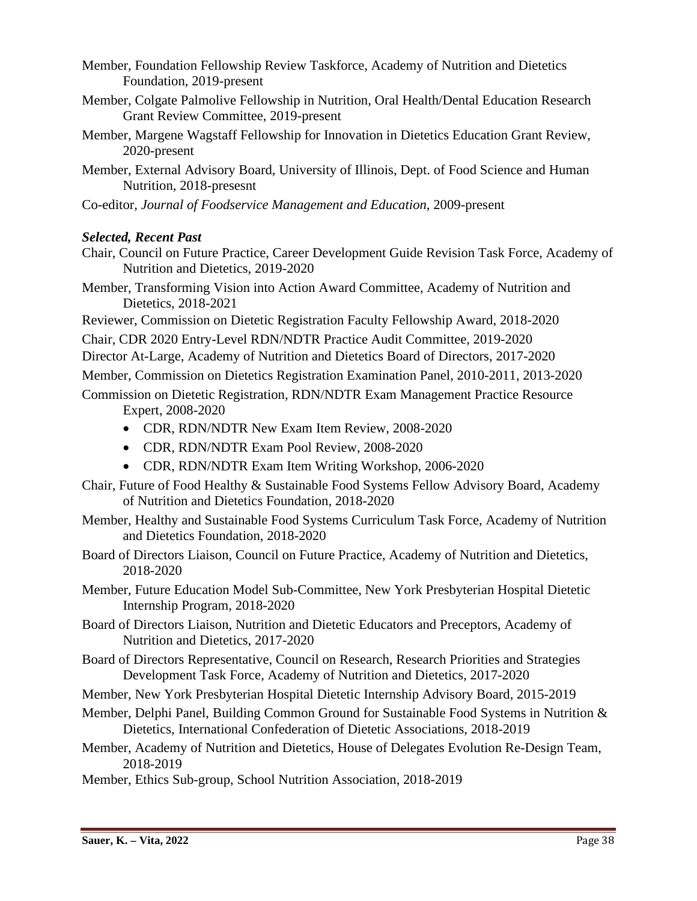Member, Foundation Fellowship Review Taskforce, Academy of Nutrition and Dietetics Foundation, 2019-present

- Member, Colgate Palmolive Fellowship in Nutrition, Oral Health/Dental Education Research Grant Review Committee, 2019-present
- Member, Margene Wagstaff Fellowship for Innovation in Dietetics Education Grant Review, 2020-present
- Member, External Advisory Board, University of Illinois, Dept. of Food Science and Human Nutrition, 2018-presesnt

Co-editor, *Journal of Foodservice Management and Education*, 2009-present

## *Selected, Recent Past*

- Chair, Council on Future Practice, Career Development Guide Revision Task Force, Academy of Nutrition and Dietetics, 2019-2020
- Member, Transforming Vision into Action Award Committee, Academy of Nutrition and Dietetics, 2018-2021
- Reviewer, Commission on Dietetic Registration Faculty Fellowship Award, 2018-2020

Chair, CDR 2020 Entry-Level RDN/NDTR Practice Audit Committee, 2019-2020

- Director At-Large, Academy of Nutrition and Dietetics Board of Directors, 2017-2020
- Member, Commission on Dietetics Registration Examination Panel, 2010-2011, 2013-2020
- Commission on Dietetic Registration, RDN/NDTR Exam Management Practice Resource Expert, 2008-2020
	- CDR, RDN/NDTR New Exam Item Review, 2008-2020
	- CDR, RDN/NDTR Exam Pool Review, 2008-2020
	- CDR, RDN/NDTR Exam Item Writing Workshop, 2006-2020
- Chair, Future of Food Healthy & Sustainable Food Systems Fellow Advisory Board, Academy of Nutrition and Dietetics Foundation, 2018-2020
- Member, Healthy and Sustainable Food Systems Curriculum Task Force, Academy of Nutrition and Dietetics Foundation, 2018-2020
- Board of Directors Liaison, Council on Future Practice, Academy of Nutrition and Dietetics, 2018-2020
- Member, Future Education Model Sub-Committee, New York Presbyterian Hospital Dietetic Internship Program, 2018-2020
- Board of Directors Liaison, Nutrition and Dietetic Educators and Preceptors, Academy of Nutrition and Dietetics, 2017-2020
- Board of Directors Representative, Council on Research, Research Priorities and Strategies Development Task Force, Academy of Nutrition and Dietetics, 2017-2020

Member, New York Presbyterian Hospital Dietetic Internship Advisory Board, 2015-2019

- Member, Delphi Panel, Building Common Ground for Sustainable Food Systems in Nutrition & Dietetics, International Confederation of Dietetic Associations, 2018-2019
- Member, Academy of Nutrition and Dietetics, House of Delegates Evolution Re-Design Team, 2018-2019
- Member, Ethics Sub-group, School Nutrition Association, 2018-2019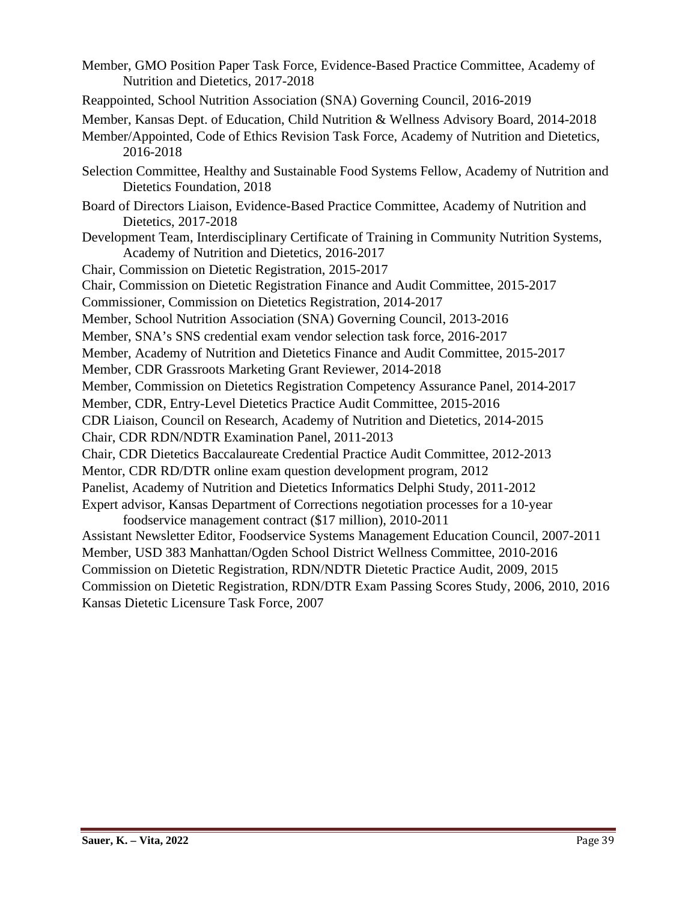- Member, GMO Position Paper Task Force, Evidence-Based Practice Committee, Academy of Nutrition and Dietetics, 2017-2018
- Reappointed, School Nutrition Association (SNA) Governing Council, 2016-2019
- Member, Kansas Dept. of Education, Child Nutrition & Wellness Advisory Board, 2014-2018
- Member/Appointed, Code of Ethics Revision Task Force, Academy of Nutrition and Dietetics, 2016-2018
- Selection Committee, Healthy and Sustainable Food Systems Fellow, Academy of Nutrition and Dietetics Foundation, 2018
- Board of Directors Liaison, Evidence-Based Practice Committee, Academy of Nutrition and Dietetics, 2017-2018
- Development Team, Interdisciplinary Certificate of Training in Community Nutrition Systems, Academy of Nutrition and Dietetics, 2016-2017
- Chair, Commission on Dietetic Registration, 2015-2017
- Chair, Commission on Dietetic Registration Finance and Audit Committee, 2015-2017
- Commissioner, Commission on Dietetics Registration, 2014-2017
- Member, School Nutrition Association (SNA) Governing Council, 2013-2016
- Member, SNA's SNS credential exam vendor selection task force, 2016-2017
- Member, Academy of Nutrition and Dietetics Finance and Audit Committee, 2015-2017
- Member, CDR Grassroots Marketing Grant Reviewer, 2014-2018
- Member, Commission on Dietetics Registration Competency Assurance Panel, 2014-2017
- Member, CDR, Entry-Level Dietetics Practice Audit Committee, 2015-2016
- CDR Liaison, Council on Research, Academy of Nutrition and Dietetics, 2014-2015
- Chair, CDR RDN/NDTR Examination Panel, 2011-2013
- Chair, CDR Dietetics Baccalaureate Credential Practice Audit Committee, 2012-2013
- Mentor, CDR RD/DTR online exam question development program, 2012
- Panelist, Academy of Nutrition and Dietetics Informatics Delphi Study, 2011-2012
- Expert advisor, Kansas Department of Corrections negotiation processes for a 10-year
- foodservice management contract (\$17 million), 2010-2011 Assistant Newsletter Editor, Foodservice Systems Management Education Council, 2007-2011 Member, USD 383 Manhattan/Ogden School District Wellness Committee, 2010-2016 Commission on Dietetic Registration, RDN/NDTR Dietetic Practice Audit, 2009, 2015 Commission on Dietetic Registration, RDN/DTR Exam Passing Scores Study, 2006, 2010, 2016 Kansas Dietetic Licensure Task Force, 2007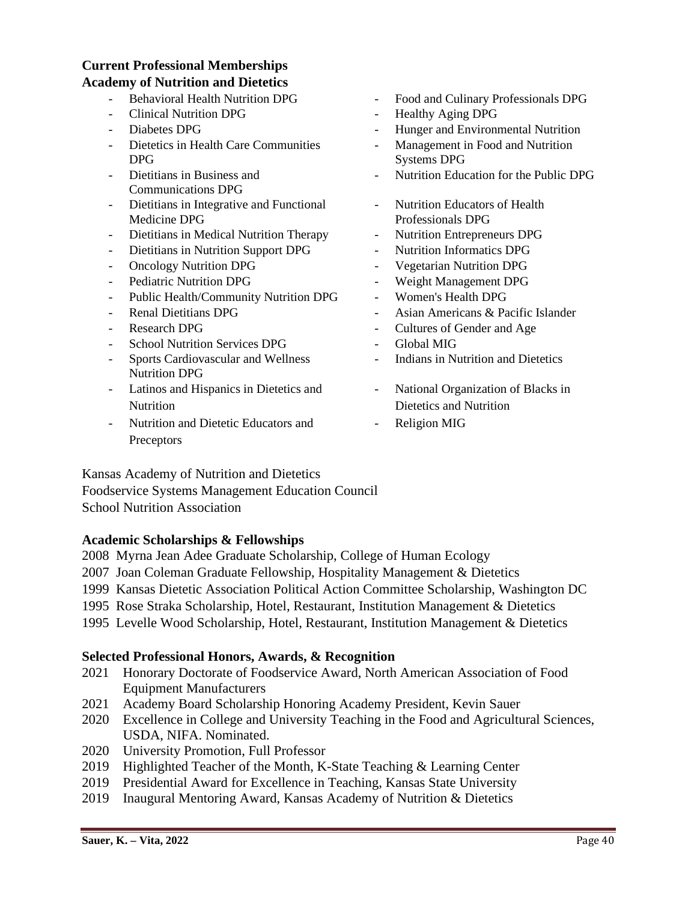## **Current Professional Memberships Academy of Nutrition and Dietetics**

- 
- Clinical Nutrition DPG Healthy Aging DPG
- 
- Dietetics in Health Care Communities DPG
- Dietitians in Business and Communications DPG
- Dietitians in Integrative and Functional Medicine DPG
- Dietitians in Medical Nutrition Therapy Nutrition Entrepreneurs DPG
- Dietitians in Nutrition Support DPG Nutrition Informatics DPG
- 
- 
- Public Health/Community Nutrition DPG Women's Health DPG
- 
- 
- School Nutrition Services DPG Global MIG
- Sports Cardiovascular and Wellness Nutrition DPG
- Latinos and Hispanics in Dietetics and **Nutrition**
- Nutrition and Dietetic Educators and **Preceptors**
- Behavioral Health Nutrition DPG Food and Culinary Professionals DPG
	-
	- Diabetes DPG Hunger and Environmental Nutrition
		- Management in Food and Nutrition Systems DPG
		- Nutrition Education for the Public DPG
		- Nutrition Educators of Health Professionals DPG
		-
		-
- Oncology Nutrition DPG Vegetarian Nutrition DPG
	- Pediatric Nutrition DPG Weight Management DPG
		-
	- Renal Dietitians DPG Asian Americans & Pacific Islander
	- Research DPG Cultures of Gender and Age
		-
		- Indians in Nutrition and Dietetics
		- National Organization of Blacks in Dietetics and Nutrition
		- Religion MIG

Kansas Academy of Nutrition and Dietetics Foodservice Systems Management Education Council School Nutrition Association

### **Academic Scholarships & Fellowships**

- 2008 Myrna Jean Adee Graduate Scholarship, College of Human Ecology
- 2007 Joan Coleman Graduate Fellowship, Hospitality Management & Dietetics
- 1999 Kansas Dietetic Association Political Action Committee Scholarship, Washington DC
- 1995 Rose Straka Scholarship, Hotel, Restaurant, Institution Management & Dietetics
- 1995 Levelle Wood Scholarship, Hotel, Restaurant, Institution Management & Dietetics

### **Selected Professional Honors, Awards, & Recognition**

- 2021 Honorary Doctorate of Foodservice Award, North American Association of Food Equipment Manufacturers
- 2021 Academy Board Scholarship Honoring Academy President, Kevin Sauer
- 2020 Excellence in College and University Teaching in the Food and Agricultural Sciences, USDA, NIFA. Nominated.
- 2020 University Promotion, Full Professor
- 2019 Highlighted Teacher of the Month, K-State Teaching & Learning Center
- 2019 Presidential Award for Excellence in Teaching, Kansas State University
- 2019 Inaugural Mentoring Award, Kansas Academy of Nutrition & Dietetics